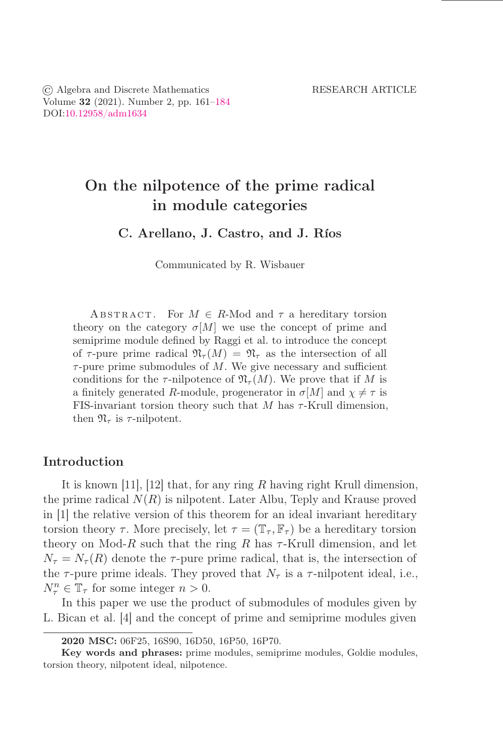# On the nilpotence of the prime radical in module categories

C. Arellano, J. Castro, and J. Ríos

Communicated by R. Wisbauer

ABSTRACT. For  $M \in R$ -Mod and  $\tau$  a hereditary torsion theory on the category  $\sigma[M]$  we use the concept of prime and semiprime module defined by Raggi et al. to introduce the concept of  $\tau$ -pure prime radical  $\mathfrak{N}_{\tau}(M) = \mathfrak{N}_{\tau}$  as the intersection of all  $\tau$ -pure prime submodules of M. We give necessary and sufficient conditions for the  $\tau$ -nilpotence of  $\mathfrak{N}_{\tau}(M)$ . We prove that if M is a finitely generated R-module, progenerator in  $\sigma[M]$  and  $\chi \neq \tau$  is FIS-invariant torsion theory such that M has  $\tau$ -Krull dimension, then  $\mathfrak{N}_{\tau}$  is  $\tau$ -nilpotent.

## Introduction

It is known [11], [12] that, for any ring  $R$  having right Krull dimension, the prime radical  $N(R)$  is nilpotent. Later Albu, Teply and Krause proved in [1] the relative version of this theorem for an ideal invariant hereditary torsion theory  $\tau$ . More precisely, let  $\tau = (\mathbb{T}_{\tau}, \mathbb{F}_{\tau})$  be a hereditary torsion theory on Mod-R such that the ring R has  $\tau$ -Krull dimension, and let  $N_{\tau} = N_{\tau}(R)$  denote the  $\tau$ -pure prime radical, that is, the intersection of the  $\tau$ -pure prime ideals. They proved that  $N_{\tau}$  is a  $\tau$ -nilpotent ideal, i.e.,  $N_{\tau}^n \in \mathbb{T}_{\tau}$  for some integer  $n > 0$ .

In this paper we use the product of submodules of modules given by L. Bican et al. [4] and the concept of prime and semiprime modules given

<sup>2020</sup> MSC: 06F25, 16S90, 16D50, 16P50, 16P70.

Key words and phrases: prime modules, semiprime modules, Goldie modules, torsion theory, nilpotent ideal, nilpotence.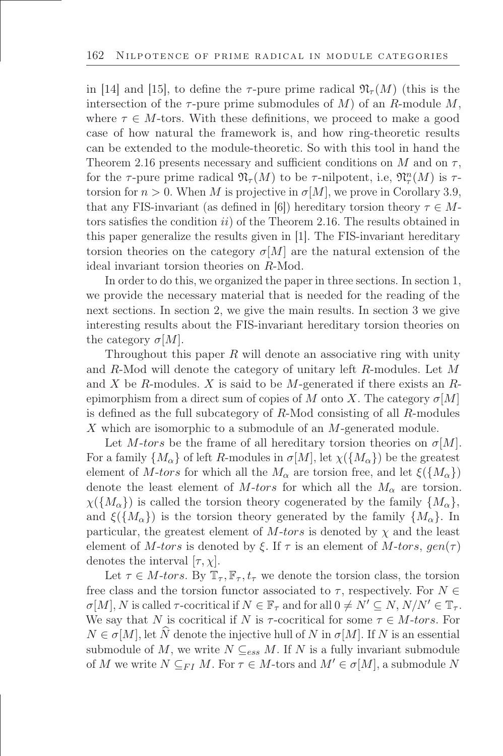in [14] and [15], to define the  $\tau$ -pure prime radical  $\mathfrak{N}_{\tau}(M)$  (this is the intersection of the  $\tau$ -pure prime submodules of M) of an R-module M, where  $\tau \in M$ -tors. With these definitions, we proceed to make a good case of how natural the framework is, and how ring-theoretic results can be extended to the module-theoretic. So with this tool in hand the Theorem 2.16 presents necessary and sufficient conditions on M and on  $\tau$ , for the  $\tau$ -pure prime radical  $\mathfrak{N}_\tau(M)$  to be  $\tau$ -nilpotent, i.e,  $\mathfrak{N}_\tau^n(M)$  is  $\tau$ torsion for  $n > 0$ . When M is projective in  $\sigma[M]$ , we prove in Corollary 3.9, that any FIS-invariant (as defined in [6]) hereditary torsion theory  $\tau \in M$ tors satisfies the condition  $ii)$  of the Theorem 2.16. The results obtained in this paper generalize the results given in [1]. The FIS-invariant hereditary torsion theories on the category  $\sigma[M]$  are the natural extension of the ideal invariant torsion theories on R-Mod.

In order to do this, we organized the paper in three sections. In section 1, we provide the necessary material that is needed for the reading of the next sections. In section 2, we give the main results. In section 3 we give interesting results about the FIS-invariant hereditary torsion theories on the category  $\sigma$ [M].

Throughout this paper  $R$  will denote an associative ring with unity and R-Mod will denote the category of unitary left R-modules. Let M and X be R-modules. X is said to be M-generated if there exists an Repimorphism from a direct sum of copies of M onto X. The category  $\sigma[M]$ is defined as the full subcategory of  $R$ -Mod consisting of all  $R$ -modules X which are isomorphic to a submodule of an M-generated module.

Let M-tors be the frame of all hereditary torsion theories on  $\sigma$ [M]. For a family  $\{M_{\alpha}\}\$  of left R-modules in  $\sigma[M]$ , let  $\chi(\{M_{\alpha}\})$  be the greatest element of M-tors for which all the  $M_{\alpha}$  are torsion free, and let  $\xi({M_{\alpha}})$ denote the least element of M-tors for which all the  $M_{\alpha}$  are torsion.  $\chi(\lbrace M_{\alpha}\rbrace)$  is called the torsion theory cogenerated by the family  $\lbrace M_{\alpha}\rbrace$ , and  $\xi({M_{\alpha}})$  is the torsion theory generated by the family  ${M_{\alpha}}$ . In particular, the greatest element of  $M$ -tors is denoted by  $\chi$  and the least element of M-tors is denoted by  $\xi$ . If  $\tau$  is an element of M-tors,  $gen(\tau)$ denotes the interval  $[\tau, \chi]$ .

Let  $\tau \in M$ -tors. By  $\mathbb{T}_{\tau}$ ,  $\mathbb{F}_{\tau}$ ,  $t_{\tau}$  we denote the torsion class, the torsion free class and the torsion functor associated to  $\tau$ , respectively. For  $N \in$  $\sigma[M], N$  is called  $\tau$ -cocritical if  $N \in \mathbb{F}_{\tau}$  and for all  $0 \neq N' \subseteq N$ ,  $N/N' \in \mathbb{F}_{\tau}$ . We say that N is cocritical if N is  $\tau$ -cocritical for some  $\tau \in M$ -tors. For  $N \in \sigma[M]$ , let  $\hat{N}$  denote the injective hull of N in  $\sigma[M]$ . If N is an essential submodule of M, we write  $N \subseteq_{ess} M$ . If N is a fully invariant submodule of M we write  $N \subseteq_{FI} M$ . For  $\tau \in M$ -tors and  $M' \in \sigma[M]$ , a submodule N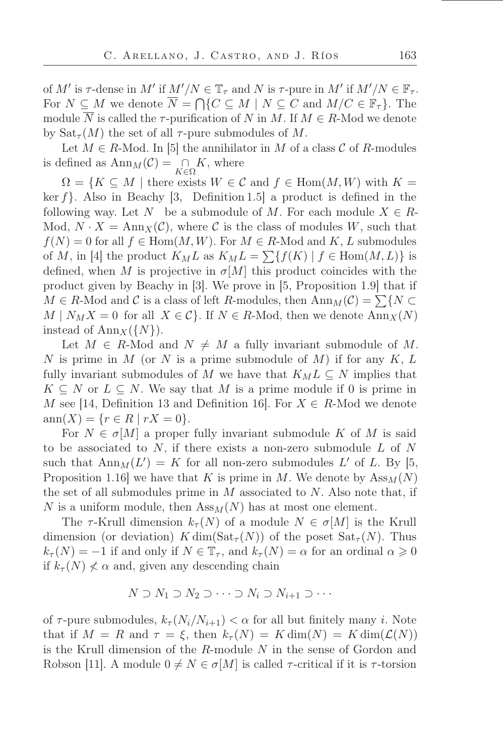of M' is  $\tau$ -dense in M' if  $M'/N \in \mathbb{T}_{\tau}$  and N is  $\tau$ -pure in M' if  $M'/N \in \mathbb{F}_{\tau}$ . For  $N \subseteq M$  we denote  $\overline{N} = \bigcap \{C \subseteq M \mid N \subseteq C \text{ and } M/C \in \mathbb{F}_7\}$ . The module  $\overline{N}$  is called the  $\tau$ -purification of N in M. If  $M \in R$ -Mod we denote by  $\text{Sat}_{\tau}(M)$  the set of all  $\tau$ -pure submodules of M.

Let  $M \in R$ -Mod. In [5] the annihilator in M of a class C of R-modules is defined as  $\text{Ann}_M(\mathcal{C}) = \bigcap_{K \in \Omega} K$ , where

 $\Omega = \{K \subseteq M \mid \text{there exists } W \in \mathcal{C} \text{ and } f \in \text{Hom}(M, W) \text{ with } K = \emptyset\}$ ker  $f$ . Also in Beachy [3, Definition 1.5] a product is defined in the following way. Let N be a submodule of M. For each module  $X \in R$ -Mod,  $N \cdot X = \text{Ann}_X(\mathcal{C})$ , where C is the class of modules W, such that  $f(N) = 0$  for all  $f \in Hom(M, W)$ . For  $M \in R$ -Mod and  $K, L$  submodules of M, in [4] the product  $K_M L$  as  $K_M L = \sum \{f(K) | f \in \text{Hom}(M, L)\}\$ is defined, when M is projective in  $\sigma[M]$  this product coincides with the product given by Beachy in [3]. We prove in [5, Proposition 1.9] that if  $M \in R$ -Mod and C is a class of left R-modules, then  $\text{Ann}_M(\mathcal{C}) = \sum \{N \subset \mathcal{C}\}$  $M \mid N_M X = 0$  for all  $X \in \mathcal{C}$ . If  $N \in R$ -Mod, then we denote  $\text{Ann}_X(N)$ instead of  $\text{Ann}_X({N}).$ 

Let  $M \in R$ -Mod and  $N \neq M$  a fully invariant submodule of M. N is prime in M (or N is a prime submodule of M) if for any  $K, L$ fully invariant submodules of M we have that  $K_M L \subseteq N$  implies that  $K \subseteq N$  or  $L \subseteq N$ . We say that M is a prime module if 0 is prime in M see [14, Definition 13 and Definition 16]. For  $X \in R$ -Mod we denote  $ann(X) = \{r \in R \mid rX = 0\}.$ 

For  $N \in \sigma[M]$  a proper fully invariant submodule K of M is said to be associated to  $N$ , if there exists a non-zero submodule  $L$  of  $N$ such that  $\text{Ann}_M(L') = K$  for all non-zero submodules L' of L. By [5, Proposition 1.16 we have that K is prime in M. We denote by  $\text{Ass}_{M}(N)$ the set of all submodules prime in  $M$  associated to  $N$ . Also note that, if N is a uniform module, then  $Ass_M(N)$  has at most one element.

The  $\tau$ -Krull dimension  $k_{\tau}(N)$  of a module  $N \in \sigma[M]$  is the Krull dimension (or deviation)  $K \dim(\mathrm{Sat}_{\tau}(N))$  of the poset  $\mathrm{Sat}_{\tau}(N)$ . Thus  $k_{\tau}(N) = -1$  if and only if  $N \in \mathbb{T}_{\tau}$ , and  $k_{\tau}(N) = \alpha$  for an ordinal  $\alpha \geqslant 0$ if  $k_{\tau}(N) \nless \alpha$  and, given any descending chain

$$
N \supset N_1 \supset N_2 \supset \cdots \supset N_i \supset N_{i+1} \supset \cdots
$$

of  $\tau$ -pure submodules,  $k_{\tau}(N_i/N_{i+1}) < \alpha$  for all but finitely many *i*. Note that if  $M = R$  and  $\tau = \xi$ , then  $k_{\tau}(N) = K \dim(N) = K \dim(\mathcal{L}(N))$ is the Krull dimension of the R-module N in the sense of Gordon and Robson [11]. A module  $0 \neq N \in \sigma[M]$  is called  $\tau$ -critical if it is  $\tau$ -torsion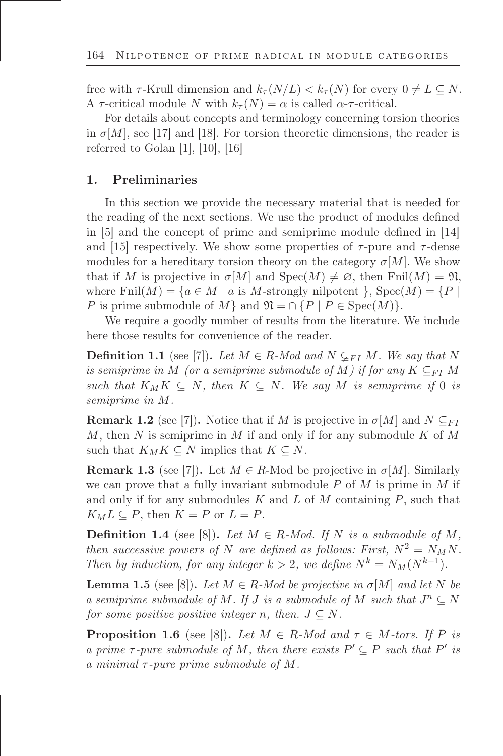free with  $\tau$ -Krull dimension and  $k_{\tau}(N/L) < k_{\tau}(N)$  for every  $0 \neq L \subseteq N$ . A  $\tau$ -critical module N with  $k_{\tau}(N) = \alpha$  is called  $\alpha$ - $\tau$ -critical.

For details about concepts and terminology concerning torsion theories in  $\sigma[M]$ , see [17] and [18]. For torsion theoretic dimensions, the reader is referred to Golan  $[1]$ ,  $[10]$ ,  $[16]$ 

## 1. Preliminaries

In this section we provide the necessary material that is needed for the reading of the next sections. We use the product of modules defined in [5] and the concept of prime and semiprime module defined in [14] and [15] respectively. We show some properties of  $\tau$ -pure and  $\tau$ -dense modules for a hereditary torsion theory on the category  $\sigma[M]$ . We show that if M is projective in  $\sigma[M]$  and  $Spec(M) \neq \emptyset$ , then Fnil $(M) = \mathfrak{N}$ , where  $\text{Finl}(M) = \{a \in M \mid a \text{ is } M\text{-strongly nilpotent } \}, \text{Spec}(M) = \{P \mid$ P is prime submodule of M } and  $\mathfrak{N} = \cap \{P \mid P \in \text{Spec}(M)\}.$ 

We require a goodly number of results from the literature. We include here those results for convenience of the reader.

**Definition 1.1** (see [7]). Let  $M \in R$ -Mod and  $N \subsetneq_{FI} M$ . We say that N *is semiprime in* M *(or a semiprime submodule of* M) *if for any*  $K \subseteq_{FI} M$ *such that*  $K_M K \subseteq N$ *, then*  $K \subseteq N$ *. We say* M *is semiprime if* 0 *is semiprime in* M*.*

**Remark 1.2** (see [7]). Notice that if M is projective in  $\sigma[M]$  and  $N \subseteq_{FI}$ M, then N is semiprime in M if and only if for any submodule K of M such that  $K_M K \subseteq N$  implies that  $K \subseteq N$ .

**Remark 1.3** (see [7]). Let  $M \in R$ -Mod be projective in  $\sigma[M]$ . Similarly we can prove that a fully invariant submodule  $P$  of  $M$  is prime in  $M$  if and only if for any submodules K and L of M containing  $P$ , such that  $K_M L \subseteq P$ , then  $K = P$  or  $L = P$ .

**Definition 1.4** (see [8]). Let  $M \in R$ -Mod. If N is a submodule of M, *then successive powers of* N *are defined as follows: First,*  $N^2 = N_M N$ . *Then by induction, for any integer*  $k > 2$ *, we define*  $N^k = N_M(N^{k-1})$ *.* 

**Lemma 1.5** (see [8]). Let  $M \in R$ -Mod be projective in  $\sigma[M]$  and let N be *a semiprime submodule of*  $M$ *. If*  $J$  *is a submodule of*  $M$  *such that*  $J^n \subseteq N$ *for some positive positive integer n, then.*  $J \subseteq N$ .

**Proposition 1.6** (see [8]). Let  $M \in R$ -Mod and  $\tau \in M$ -tors. If P is *a prime*  $\tau$ -pure submodule of M, then there exists  $P' \subseteq P$  such that  $P'$  is *a minimal* τ *-pure prime submodule of* M*.*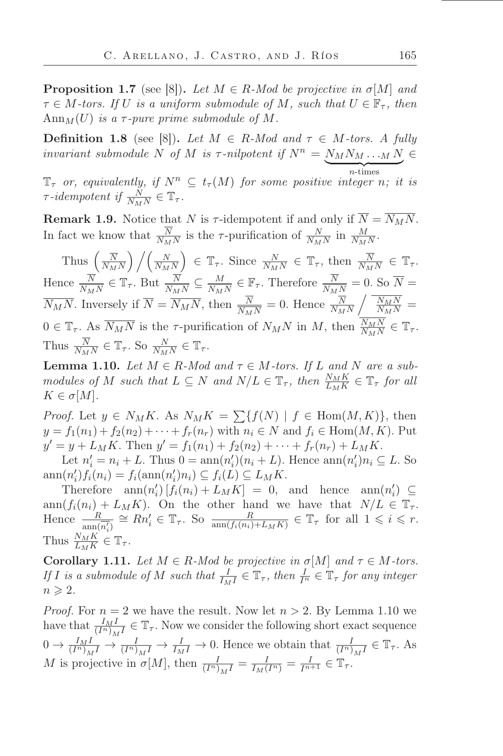**Proposition 1.7** (see [8]). Let  $M \in R$ -Mod be projective in  $\sigma[M]$  and  $\tau \in M$ -tors. If U is a uniform submodule of M, such that  $U \in \mathbb{F}_{\tau}$ , then  $\text{Ann}_M(U)$  *is a*  $\tau$ *-pure prime submodule of* M.

**Definition 1.8** (see [8]). Let  $M \in R$ -Mod and  $\tau \in M$ -tors. A fully *invariant submodule* N of M *is*  $\tau$ -nilpotent if  $N^n = \underbrace{N_M N_M \dots M}_{n \text{-times}} N \in$ n-times

 $\mathbb{T}_{\tau}$  *or, equivalently, if*  $N^{n} \subseteq t_{\tau}(M)$  *for some positive integer n; it is*  $\tau$ *-idempotent if*  $\frac{N}{N_M N} \in \mathbb{T}_{\tau}$ .

**Remark 1.9.** Notice that N is  $\tau$ -idempotent if and only if  $\overline{N} = \overline{N_M N}$ . In fact we know that  $\frac{N}{N_M N}$  is the  $\tau$ -purification of  $\frac{N}{N_M N}$  in  $\frac{M}{N_M N}$ .

Thus  $\left(\frac{\overline{N}}{N_M}\right)$  $N_MN$  $\bigg)$  /(  $\frac{N}{N}$  $N_MN$  $\Big) \in \mathbb{T}_{\tau}$ . Since  $\frac{N}{N_M N} \in \mathbb{T}_{\tau}$ , then  $\frac{\overline{N}}{N_M N} \in \mathbb{T}_{\tau}$ . Hence  $\frac{N}{N_M N} \in \mathbb{T}_{\tau}$ . But  $\frac{N}{N_M N} \subseteq \frac{M}{N_M}$  $\frac{M}{N_M N} \in \mathbb{F}_{\tau}$ . Therefore  $\frac{N}{N_M N} = 0$ . So  $\overline{N} =$  $\overline{N_MN}$ . Inversely if  $\overline{N} = \overline{N_MN}$ , then  $\frac{N}{\overline{N_MN}} = 0$ . Hence  $\frac{N}{\overline{N_MN}}$  $\sqrt{\frac{N_M N}{N_M N}} =$  $0 \in \mathbb{T}_{\tau}$ . As  $\overline{N_M N}$  is the  $\tau$ -purification of  $N_M N$  in  $M$ , then  $\frac{N_M N}{N_M N} \in \mathbb{T}_{\tau}$ . Thus  $\frac{N}{N_M N} \in \mathbb{T}_{\tau}$ . So  $\frac{N}{N_M N} \in \mathbb{T}_{\tau}$ .

**Lemma 1.10.** *Let*  $M \in R$ *-Mod and*  $\tau \in M$ *-tors. If*  $L$  *and*  $N$  *are a submodules of* M *such that*  $L \subseteq N$  *and*  $N/L \in \mathbb{T}_{\tau}$ , *then*  $\frac{N_M K}{L_M K} \in \mathbb{T}_{\tau}$  *for all*  $K \in \sigma[M]$ *.* 

*Proof.* Let  $y \in N_M K$ . As  $N_M K = \sum \{f(N) \mid f \in \text{Hom}(M, K)\},$  then  $y = f_1(n_1) + f_2(n_2) + \cdots + f_r(n_r)$  with  $n_i \in N$  and  $f_i \in \text{Hom}(M, K)$ . Put  $y' = y + L_M K$ . Then  $y' = f_1(n_1) + f_2(n_2) + \cdots + f_r(n_r) + L_M K$ .

Let  $n'_i = n_i + L$ . Thus  $0 = \text{ann}(n'_i)(n_i + L)$ . Hence  $\text{ann}(n'_i)n_i \subseteq L$ . So  $ann(n'_i) f_i(n_i) = f_i(ann(n'_i) n_i) \subseteq f_i(L) \subseteq L_M K.$ 

Therefore  $\text{ann}(n'_i) [f_i(n_i) + L_M K] = 0$ , and hence  $\text{ann}(n'_i) \subseteq$  $ann(f_i(n_i) + L_MK)$ . On the other hand we have that  $N/L \in \mathbb{T}_{\tau}$ . Hence  $\frac{R}{\text{ann}(\overline{n_i'})} \cong Rn_i' \in \mathbb{T}_{\tau}$ . So  $\frac{R}{\text{ann}(f_i(n_i)+L_M K)} \in \mathbb{T}_{\tau}$  for all  $1 \leq i \leq r$ . Thus  $\frac{N_M K}{L_M K} \in \mathbb{T}_{\tau}$ .

Corollary 1.11. *Let*  $M \in R$ *-Mod be projective in*  $\sigma[M]$  *and*  $\tau \in M$ *-tors. If I is a submodule of M such that*  $\frac{I}{I_M I} \in \mathbb{T}_\tau$ , then  $\frac{I}{I^n} \in \mathbb{T}_\tau$  for any integer  $n \geqslant 2$ .

*Proof.* For  $n = 2$  we have the result. Now let  $n > 2$ . By Lemma 1.10 we have that  $\frac{I_M I}{(I^n)_M I} \in \mathbb{T}_{\tau}$ . Now we consider the following short exact sequence  $0 \to \frac{I_M I}{(I^n)_M I} \to \frac{I}{(I^n)_M I} \to \frac{I}{I_M I} \to 0$ . Hence we obtain that  $\frac{I}{(I^n)_M I} \in \mathbb{T}_{\tau}$ . As M is projective in  $\sigma[M]$ , then  $\frac{I}{(I^n)_M I} = \frac{I}{I_M(I^n)} = \frac{I}{I^{n+1}} \in \mathbb{T}_{\tau}$ .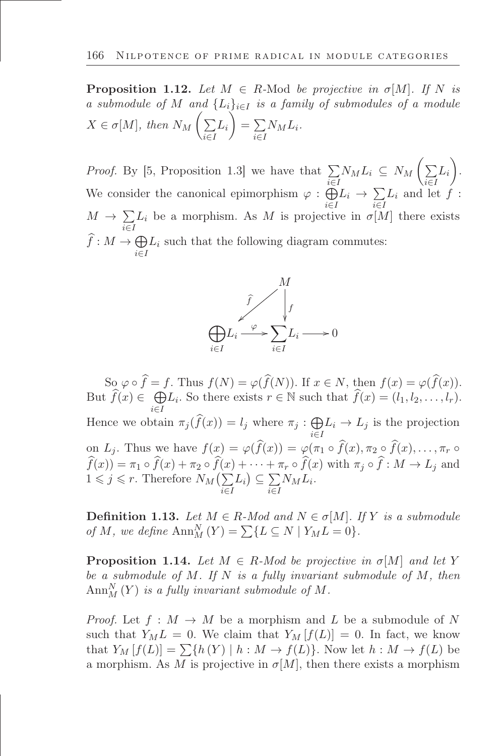**Proposition 1.12.** Let  $M \in R$ -Mod be projective in  $\sigma[M]$ . If N is *a submodule of* M *and*  $\{L_i\}_{i\in I}$  *is a family of submodules of a module*  $X \in \sigma[M]$ , then  $N_M \left( \sum_{n=1}^{\infty} \sigma^2 \right)$ i∈I  $L_i$ Ń  $=$  $\sum$ i∈I  $N_M L_i$ .

*Proof.* By [5, Proposition 1.3] we have that  $\Sigma$ i∈I  $N_M L_i \subseteq N_M \left( \sum_{i=1}^n \right)$ i∈I  $L_i$  $\setminus$ . We consider the canonical epimorphism  $\varphi : \bigoplus$ i∈I  $L_i \rightarrow \sum$ i∈I  $L_i$  and let  $f$  :  $M \rightarrow \sum$ i∈I  $L_i$  be a morphism. As M is projective in  $\sigma[M]$  there exists  $\widehat{f}: M \to \bigoplus$ i∈I  $L_i$  such that the following diagram commutes:



So  $\varphi \circ \widehat{f} = f$ . Thus  $f(N) = \varphi(\widehat{f}(N))$ . If  $x \in N$ , then  $f(x) = \varphi(\widehat{f}(x))$ . But  $\widehat{f}(x) \in \bigoplus_{i} L_i$ . So there exists  $r \in \mathbb{N}$  such that  $\widehat{f}(x) = (l_1, l_2, \ldots, l_r)$ . i∈I Hence we obtain  $\pi_j(\widehat{f}(x)) = l_j$  where  $\pi_j : \bigoplus$ i∈I  $L_i \rightarrow L_j$  is the projection on  $L_j$ . Thus we have  $f(x) = \varphi(f(x)) = \varphi(\pi_1 \circ f(x), \pi_2 \circ f(x), \ldots, \pi_r \circ f(x))$  $f(x)$ ) =  $\pi_1 \circ f(x) + \pi_2 \circ f(x) + \cdots + \pi_r \circ f(x)$  with  $\pi_j \circ f : M \to L_j$  and  $1 \leqslant j \leqslant r$ . Therefore  $N_M(\sum)$ i∈I  $L_i$ )  $\subseteq \sum$ i∈I  $N_M L_i$ .

**Definition 1.13.** *Let*  $M \in R$ *-Mod and*  $N \in \sigma[M]$ *. If* Y *is a submodule of M*, we define  $\text{Ann}_{M}^{N}(Y) = \sum \{L \subseteq N \mid Y_{M}L = 0\}.$ 

**Proposition 1.14.** *Let*  $M \in R$ *-Mod be projective in*  $\sigma[M]$  *and let* Y *be a submodule of* M*. If* N *is a fully invariant submodule of* M*, then*  $\text{Ann}_{M}^{N}(Y)$  *is a fully invariant submodule of*  $M$ *.* 

*Proof.* Let  $f : M \to M$  be a morphism and L be a submodule of N such that  $Y_M L = 0$ . We claim that  $Y_M[f(L)] = 0$ . In fact, we know that  $Y_M[f(L)] = \sum \{h(Y) \mid h : M \to f(L)\}$ . Now let  $h : M \to f(L)$  be a morphism. As M is projective in  $\sigma[M]$ , then there exists a morphism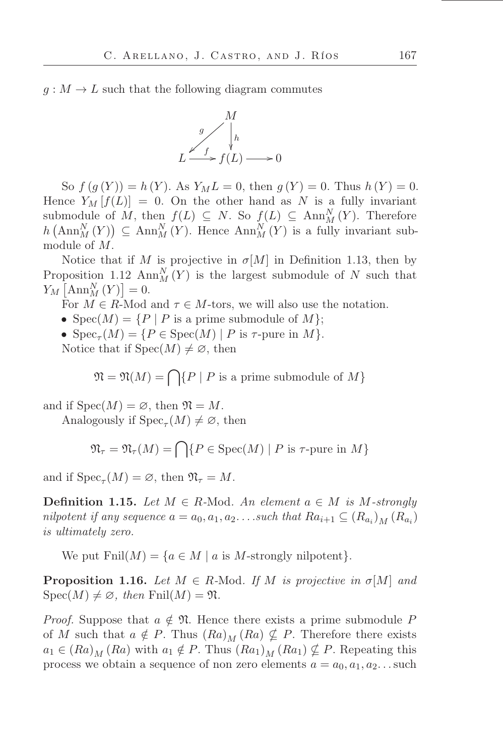$g: M \to L$  such that the following diagram commutes



So  $f(g(Y)) = h(Y)$ . As  $Y_M L = 0$ , then  $g(Y) = 0$ . Thus  $h(Y) = 0$ . Hence  $Y_M[f(L)] = 0$ . On the other hand as N is a fully invariant submodule of M, then  $f(L) \subseteq N$ . So  $f(L) \subseteq Ann_M^N(Y)$ . Therefore  $h\left(\text{Ann}_{M}^{N}(Y)\right) \subseteq \text{Ann}_{M}^{N}(Y)$ . Hence  $\text{Ann}_{M}^{N}(Y)$  is a fully invariant submodule of M.

Notice that if M is projective in  $\sigma[M]$  in Definition 1.13, then by Proposition 1.12 Ann<sup>N</sup> $(Y)$  is the largest submodule of N such that  $Y_M\left[\text{Ann}_M^N(Y)\right]=0.$ 

For  $M \in R$ -Mod and  $\tau \in M$ -tors, we will also use the notation.

•  $Spec(M) = {P | P$  is a prime submodule of M;

•  $Spec_{\tau}(M) = \{ P \in Spec(M) \mid P \text{ is } \tau\text{-pure in } M \}.$ 

Notice that if  $Spec(M) \neq \emptyset$ , then

 $\mathfrak{N} = \mathfrak{N}(M) = \bigcap \{P \mid P \text{ is a prime submodule of } M\}$ 

and if  $Spec(M) = \emptyset$ , then  $\mathfrak{N} = M$ .

Analogously if  $Spec_{\tau}(M) \neq \emptyset$ , then

$$
\mathfrak{N}_{\tau} = \mathfrak{N}_{\tau}(M) = \bigcap \{ P \in \text{Spec}(M) \mid P \text{ is } \tau\text{-pure in } M \}
$$

and if  $Spec_{\tau}(M) = \emptyset$ , then  $\mathfrak{N}_{\tau} = M$ .

**Definition 1.15.** Let  $M \in R$ -Mod. An element  $a \in M$  is M-strongly *nilpotent if any sequence*  $a = a_0, a_1, a_2, \ldots$  *such that*  $Ra_{i+1} \subseteq (R_{a_i})_M (R_{a_i})$ *is ultimately zero.*

We put  $\text{Finl}(M) = \{a \in M \mid a \text{ is } M\text{-strongly nilpotent}\}.$ 

**Proposition 1.16.** *Let*  $M \in R$ -Mod. *If*  $M$  *is projective in*  $\sigma[M]$  *and*  $Spec(M) \neq \emptyset$ *, then* Fnil(*M*) =  $\mathfrak{N}$ *.* 

*Proof.* Suppose that  $a \notin \mathfrak{N}$ . Hence there exists a prime submodule P of M such that  $a \notin P$ . Thus  $(Ra)_M (Ra) \nsubseteq P$ . Therefore there exists  $a_1 \in (Ra)_{M} (Ra)$  with  $a_1 \notin P$ . Thus  $(Ra_1)_{M} (Ra_1) \nsubseteq P$ . Repeating this process we obtain a sequence of non zero elements  $a = a_0, a_1, a_2$ ... such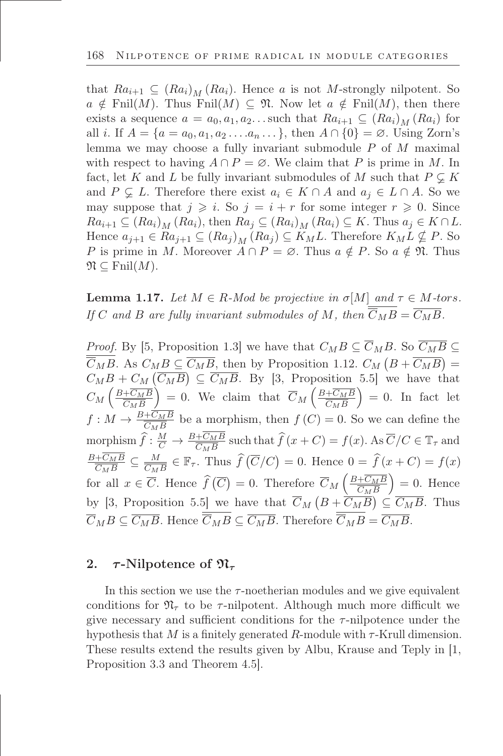that  $Ra_{i+1} \subseteq (Ra_i)_M (Ra_i)$ . Hence a is not M-strongly nilpotent. So  $a \notin \text{Finl}(M)$ . Thus Fnil $(M) \subseteq \mathfrak{N}$ . Now let  $a \notin \text{Finl}(M)$ , then there exists a sequence  $a = a_0, a_1, a_2$ ... such that  $Ra_{i+1} \subseteq (Ra_i)_M (Ra_i)$  for all *i*. If  $A = \{a = a_0, a_1, a_2, \ldots, a_n, \ldots\}$ , then  $A \cap \{0\} = \emptyset$ . Using Zorn's lemma we may choose a fully invariant submodule P of M maximal with respect to having  $A \cap P = \emptyset$ . We claim that P is prime in M. In fact, let K and L be fully invariant submodules of M such that  $P \subsetneq K$ and  $P \subseteq L$ . Therefore there exist  $a_i \in K \cap A$  and  $a_j \in L \cap A$ . So we may suppose that  $j \geq i$ . So  $j = i + r$  for some integer  $r \geq 0$ . Since  $Ra_{i+1} \subseteq (Ra_i)_M (Ra_i)$ , then  $Ra_j \subseteq (Ra_i)_M (Ra_i) \subseteq K$ . Thus  $a_j \in K \cap L$ . Hence  $a_{i+1} \in Ra_{i+1} \subseteq (Ra_i)_M (Ra_i) \subseteq K_M L$ . Therefore  $K_M L \nsubseteq P$ . So P is prime in M. Moreover  $A \cap P = \emptyset$ . Thus  $a \notin P$ . So  $a \notin \mathfrak{N}$ . Thus  $\mathfrak{N} \subseteq \mathrm{Finil}(M)$ .

**Lemma 1.17.** *Let*  $M \in R$ *-Mod be projective in*  $\sigma[M]$  *and*  $\tau \in M$ *-tors. If* C and B are fully invariant submodules of M, then  $\overline{\overline{C}_M B} = \overline{C_M B}$ .

*Proof.* By [5, Proposition 1.3] we have that  $C_M B \subseteq \overline{C}_M B$ . So  $\overline{C_M B} \subseteq$  $\overline{\overline{C}_{M}B}$ . As  $C_{M}B \subseteq \overline{C_{M}B}$ , then by Proposition 1.12.  $C_{M}(B + \overline{C_{M}B}) =$  $C_M B + C_M (\overline{C_M B}) \subseteq \overline{C_M B}$ . By [3, Proposition 5.5] we have that  $C_M\left(\frac{B+\overline{C_M}B}{\overline{C_M}B}\right)$  $C_M B$  $\left( \begin{array}{c} 0 \end{array} \right) = 0.$  We claim that  $\overline{C}_M \left( \frac{B + \overline{C_M}B}{\overline{C_M}B} \right)$  $C_M B$  $= 0$ . In fact let  $f: M \to \frac{B+CMB}{CMB}$  be a morphism, then  $f(C) = 0$ . So we can define the morphism  $\hat{f} : \frac{M}{C} \to \frac{B+C_M B}{C_M B}$  such that  $\hat{f}(x+C) = f(x)$ . As  $\overline{C}/C \in \mathbb{T}_{\tau}$  and  $B+C_M B$  $\frac{+C_{M}B}{C_{M}B} \subseteq \frac{M}{C_{M}}$  $\frac{M}{C_{MB}} \in \mathbb{F}_{\tau}$ . Thus  $\widehat{f}(\overline{C}/C) = 0$ . Hence  $0 = \widehat{f}(x + C) = f(x)$ for all  $x \in \overline{C}$ . Hence  $\widehat{f}(\overline{C}) = 0$ . Therefore  $\overline{C}_M \left( \frac{B + \overline{C_M} B}{\overline{C_M} B} \right)$  $C_M B$  $= 0$ . Hence by [3, Proposition 5.5] we have that  $\overline{C}_M(B+\overline{C_MB}) \subseteq \overline{C_MB}$ . Thus  $\overline{C}_M B \subseteq \overline{C_M B}$ . Hence  $\overline{C}_M B \subseteq \overline{C_M B}$ . Therefore  $\overline{C}_M B = \overline{C_M B}$ .

### 2.  $\tau$ -Nilpotence of  $\mathfrak{N}_{\tau}$

In this section we use the  $\tau$ -noetherian modules and we give equivalent conditions for  $\mathfrak{N}_{\tau}$  to be  $\tau$ -nilpotent. Although much more difficult we give necessary and sufficient conditions for the  $\tau$ -nilpotence under the hypothesis that M is a finitely generated R-module with  $\tau$ -Krull dimension. These results extend the results given by Albu, Krause and Teply in [1, Proposition 3.3 and Theorem 4.5].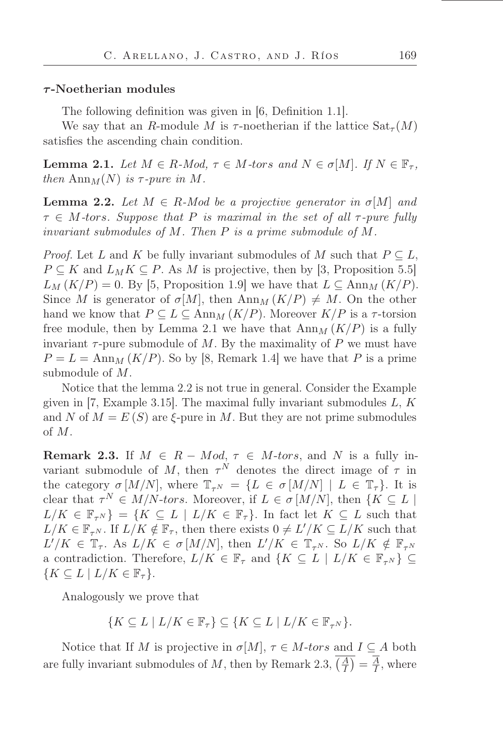#### $\tau$ -Noetherian modules

The following definition was given in [6, Definition 1.1].

We say that an R-module M is  $\tau$ -noetherian if the lattice  $\text{Sat}_{\tau}(M)$ satisfies the ascending chain condition.

**Lemma 2.1.** *Let*  $M \in R$ *-Mod,*  $\tau \in M$ *-tors and*  $N \in \sigma[M]$ *. If*  $N \in \mathbb{F}_{\tau}$ *, then* Ann $_M(N)$  *is*  $\tau$ -pure *in* M.

**Lemma 2.2.** Let  $M \in R$ -Mod be a projective generator in  $\sigma[M]$  and  $\tau \in M$ -tors. Suppose that P is maximal in the set of all  $\tau$ -pure fully *invariant submodules of* M*. Then* P *is a prime submodule of* M*.*

*Proof.* Let L and K be fully invariant submodules of M such that  $P \subseteq L$ ,  $P \subseteq K$  and  $L_M K \subseteq P$ . As M is projective, then by [3, Proposition 5.5]  $L_M (K/P) = 0$ . By [5, Proposition 1.9] we have that  $L \subseteq \text{Ann}_M (K/P)$ . Since M is generator of  $\sigma[M]$ , then Ann<sub>M</sub>  $(K/P) \neq M$ . On the other hand we know that  $P \subseteq L \subseteq \text{Ann}_{M}(K/P)$ . Moreover  $K/P$  is a  $\tau$ -torsion free module, then by Lemma 2.1 we have that  $\text{Ann}_{M}(K/P)$  is a fully invariant  $\tau$ -pure submodule of M. By the maximality of P we must have  $P = L = \text{Ann}_{M} (K/P)$ . So by [8, Remark 1.4] we have that P is a prime submodule of M.

Notice that the lemma 2.2 is not true in general. Consider the Example given in [7, Example 3.15]. The maximal fully invariant submodules  $L, K$ and N of  $M = E(S)$  are  $\xi$ -pure in M. But they are not prime submodules of M.

**Remark 2.3.** If  $M \in R - Mod$ ,  $\tau \in M$ -tors, and N is a fully invariant submodule of M, then  $\tau^N$  denotes the direct image of  $\tau$  in the category  $\sigma$  [M/N], where  $\mathbb{T}_{\tau^{N}} = \{L \in \sigma$  [M/N] |  $L \in \mathbb{T}_{\tau}\}$ . It is clear that  $\tau^N \in M/N$ -tors. Moreover, if  $L \in \sigma[M/N]$ , then  $\{K \subseteq L \mid$  $L/K \in \mathbb{F}_{\tau^N}$  = { $K \subseteq L \mid L/K \in \mathbb{F}_{\tau}$ }. In fact let  $K \subseteq L$  such that  $L/K \in \mathbb{F}_{\tau^N}$ . If  $L/K \notin \mathbb{F}_{\tau}$ , then there exists  $0 \neq L'/K \subseteq L/K$  such that  $L'/K \in \mathbb{T}_{\tau}$ . As  $L/K \in \sigma$  [M/N], then  $L'/K \in \mathbb{T}_{\tau^N}$ . So  $L/K \notin \mathbb{F}_{\tau^N}$ a contradiction. Therefore,  $L/K \in \mathbb{F}_{\tau}$  and  $\{K \subseteq L \mid L/K \in \mathbb{F}_{\tau^{N}}\}\subseteq$  ${K \subseteq L \mid L/K \in \mathbb{F}_{\tau} }.$ 

Analogously we prove that

$$
\{K \subseteq L \mid L/K \in \mathbb{F}_{\tau}\} \subseteq \{K \subseteq L \mid L/K \in \mathbb{F}_{\tau^N}\}.
$$

Notice that If M is projective in  $\sigma[M]$ ,  $\tau \in M$ -tors and  $I \subseteq A$  both are fully invariant submodules of M, then by Remark 2.3,  $\overline{\left(\frac{A}{I}\right)} = \frac{\overline{A}}{I}$  $\frac{A}{I}$ , where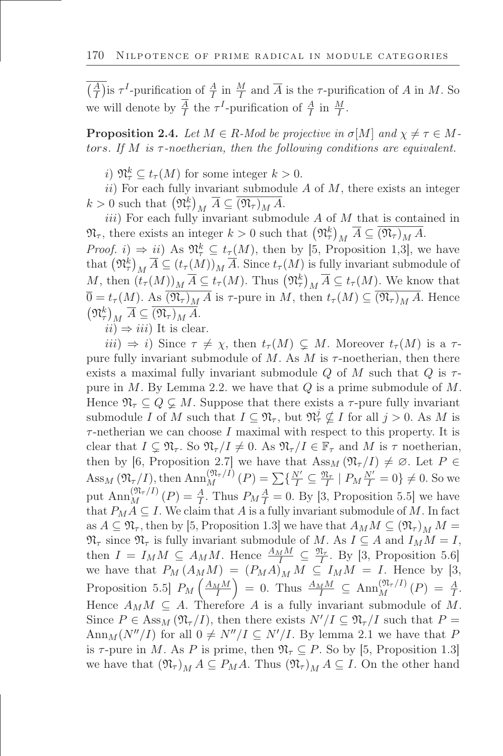$\left(\frac{A}{I}\right)$  is  $\tau^I$ -purification of  $\frac{A}{I}$  in  $\frac{M}{I}$  and  $\overline{A}$  is the  $\tau$ -purification of A in M. So we will denote by  $\frac{A}{I}$  the  $\tau^I$ -purification of  $\frac{A}{I}$  in  $\frac{M}{I}$ .

**Proposition 2.4.** Let  $M \in R$ -Mod be projective in  $\sigma[M]$  and  $\chi \neq \tau \in M$ tors. If  $M$  is  $\tau$ -noetherian, then the following conditions are equivalent.

i)  $\mathfrak{N}_{\tau}^k \subseteq t_{\tau}(M)$  for some integer  $k > 0$ .

ii) For each fully invariant submodule  $A$  of  $M$ , there exists an integer  $k > 0$  such that  $(\mathfrak{N}_{\tau}^k)_M \overline{A} \subseteq \overline{(\mathfrak{N}_{\tau})_M A}.$ 

 $iii)$  For each fully invariant submodule  $A$  of  $M$  that is contained in  $\mathfrak{N}_{\tau}$ , there exists an integer  $k > 0$  such that  $(\mathfrak{N}_{\tau}^{k})_{M} \overline{A} \subseteq \overline{(\mathfrak{N}_{\tau})_{M} A}$ . *Proof. i*)  $\Rightarrow$  *ii*) As  $\mathfrak{N}_{\tau}^k \subseteq t_{\tau}(M)$ , then by [5, Proposition 1,3], we have that  $(\mathfrak{N}_{\tau}^{k})_{M} \overline{A} \subseteq (t_{\tau}(M))_{M} \overline{A}$ . Since  $t_{\tau}(M)$  is fully invariant submodule of M, then  $(t_\tau(M))_M \overline{A} \subseteq t_\tau(M)$ . Thus  $(\mathfrak{N}^k_\tau)_M \overline{A} \subseteq t_\tau(M)$ . We know that  $\overline{0} = t_{\tau}(M)$ . As  $\overline{(\mathfrak{N}_{\tau})_{M} A}$  is  $\tau$ -pure in M, then  $t_{\tau}(M) \subseteq \overline{(\mathfrak{N}_{\tau})_{M} A}$ . Hence  $(\mathfrak{N}_{\tau}^k)_M \ \overline{A} \subseteq \overline{(\mathfrak{N}_{\tau})_M A}.$ 

 $ii) \Rightarrow iii$  It is clear.

 $iii) \Rightarrow i$ ) Since  $\tau \neq \chi$ , then  $t_{\tau}(M) \subseteq M$ . Moreover  $t_{\tau}(M)$  is a  $\tau$ pure fully invariant submodule of  $M$ . As  $M$  is  $\tau$ -noetherian, then there exists a maximal fully invariant submodule Q of M such that Q is  $\tau$ pure in  $M$ . By Lemma 2.2. we have that  $Q$  is a prime submodule of  $M$ . Hence  $\mathfrak{N}_{\tau} \subseteq Q \subsetneq M$ . Suppose that there exists a  $\tau$ -pure fully invariant submodule I of M such that  $I \subseteq \mathfrak{N}_{\tau}$ , but  $\mathfrak{N}_{\tau}^j \nsubseteq I$  for all  $j > 0$ . As M is  $\tau$ -netherian we can choose I maximal with respect to this property. It is clear that  $I \subseteq \mathfrak{N}_{\tau}$ . So  $\mathfrak{N}_{\tau}/I \neq 0$ . As  $\mathfrak{N}_{\tau}/I \in \mathbb{F}_{\tau}$  and M is  $\tau$  noetherian, then by [6, Proposition 2.7] we have that  $Ass_M(\mathfrak{N}_\tau/I) \neq \emptyset$ . Let  $P \in$ Ass<sub>M</sub>  $(\mathfrak{N}_{\tau}/I)$ , then  $\text{Ann}_{M}^{(\mathfrak{N}_{\tau}/I)}(P) = \sum \{ \frac{N'}{I} \subseteq \frac{\mathfrak{N}_{\tau}}{I} \mid P_{M} \frac{N'}{I} = 0 \} \neq 0$ . So we put  $\text{Ann}_M^{(\mathfrak{N}_\tau/I)}(P) = \frac{A}{I}$  $\frac{A}{I}$ . Thus  $P_M \frac{A}{I} = 0$ . By [3, Proposition 5.5] we have that  $P_M A \subseteq I$ . We claim that A is a fully invariant submodule of M. In fact as  $A \subseteq \mathfrak{N}_{\tau}$ , then by [5, Proposition 1.3] we have that  $A_M M \subseteq (\mathfrak{N}_{\tau})_M M =$  $\mathfrak{N}_{\tau}$  since  $\mathfrak{N}_{\tau}$  is fully invariant submodule of M. As  $I \subseteq A$  and  $I_M M = I$ , then  $I = I_M M \subseteq A_M M$ . Hence  $\frac{A_M M}{I} \subseteq \frac{\mathfrak{N}_{\tau}}{I}$ . By [3, Proposition 5.6] we have that  $P_M(A_MM) = (P_MA)_M M \subseteq I_MM = I$ . Hence by [3, Proposition 5.5]  $P_M\left(\frac{A_M M}{I}\right)$  $= 0$ . Thus  $\frac{A_M M}{I} \subseteq \text{Ann}_M^{(\mathfrak{N}_\tau/I)}(P) = \frac{A}{I}$  $\frac{A}{I}$ . Hence  $A_M M \subseteq A$ . Therefore A is a fully invariant submodule of M. Since  $P \in \text{Ass}_{M}(\mathfrak{N}_{\tau}/I)$ , then there exists  $N'/I \subseteq \mathfrak{N}_{\tau}/I$  such that  $P =$ Ann<sub>M</sub>(N''/I) for all  $0 \neq N''/I \subseteq N'/I$ . By lemma 2.1 we have that P is  $\tau$ -pure in M. As P is prime, then  $\mathfrak{N}_{\tau} \subseteq P$ . So by [5, Proposition 1.3] we have that  $(\mathfrak{N}_{\tau})_M A \subseteq P_M A$ . Thus  $(\mathfrak{N}_{\tau})_M A \subseteq I$ . On the other hand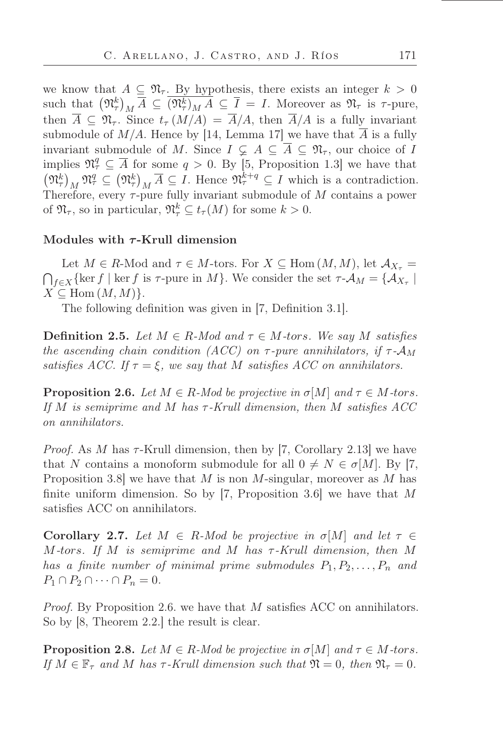we know that  $A \subseteq \mathfrak{N}_{\tau}$ . By hypothesis, there exists an integer  $k > 0$ such that  $(\mathfrak{N}_{\tau}^k)_M \overline{A} \subseteq \overline{(\mathfrak{N}_{\tau}^k)_M A} \subseteq \overline{I} = I$ . Moreover as  $\mathfrak{N}_{\tau}$  is  $\tau$ -pure, then  $\overline{A} \subseteq \mathfrak{N}_{\tau}$ . Since  $t_{\tau}(M/A) = \overline{A}/A$ , then  $\overline{A}/A$  is a fully invariant submodule of  $M/A$ . Hence by [14, Lemma 17] we have that  $\overline{A}$  is a fully invariant submodule of M. Since  $I \subsetneq A \subseteq \overline{A} \subseteq \mathfrak{N}_{\tau}$ , our choice of I implies  $\mathfrak{N}_{\tau}^q \subseteq \overline{A}$  for some  $q > 0$ . By [5, Proposition 1.3] we have that  $(\mathfrak{N}_{\tau}^k)_M \mathfrak{N}_{\tau}^q \subseteq (\mathfrak{N}_{\tau}^k)_M \overline{A} \subseteq I$ . Hence  $\mathfrak{N}_{\tau}^{k+q} \subseteq I$  which is a contradiction. Therefore, every  $\tau$ -pure fully invariant submodule of M contains a power of  $\mathfrak{N}_{\tau}$ , so in particular,  $\mathfrak{N}_{\tau}^k \subseteq t_{\tau}(M)$  for some  $k > 0$ .

## Modules with  $\tau$ -Krull dimension

Let  $M \in R$ -Mod and  $\tau \in M$ -tors. For  $X \subseteq \text{Hom}(M, M)$ , let  $\mathcal{A}_{X_{\tau}} =$  $f \in X$  {ker f | ker f is  $\tau$ -pure in M}. We consider the set  $\tau$ - $\mathcal{A}_M = \{ \mathcal{A}_{X_\tau} \mid$  $X \subseteq \text{Hom}(M, M)$ .

The following definition was given in [7, Definition 3.1].

**Definition 2.5.** *Let*  $M \in R$ *-Mod and*  $\tau \in M$ *-tors. We say* M *satisfies the ascending chain condition (ACC) on*  $\tau$ -pure annihilators, if  $\tau$ - $\mathcal{A}_M$ *satisfies ACC. If*  $\tau = \xi$ *, we say that* M *satisfies ACC* on annihilators.

**Proposition 2.6.** *Let*  $M \in \mathbb{R}$ -*Mod be projective in*  $\sigma[M]$  *and*  $\tau \in M$ -tors. *If* M *is semiprime and* M *has* τ *-Krull dimension, then* M *satisőes ACC on annihilators.*

*Proof.* As M has  $\tau$ -Krull dimension, then by [7, Corollary 2.13] we have that N contains a monoform submodule for all  $0 \neq N \in \sigma[M]$ . By [7, Proposition 3.8] we have that M is non M-singular, moreover as M has finite uniform dimension. So by [7, Proposition 3.6] we have that  $M$ satisfies ACC on annihilators.

**Corollary 2.7.** Let  $M \in R$ -Mod be projective in  $\sigma[M]$  and let  $\tau \in$ M*-*tors*. If* M *is semiprime and* M *has* τ *-Krull dimension, then* M *has a finite number of minimal prime submodules*  $P_1, P_2, \ldots, P_n$  *and*  $P_1 \cap P_2 \cap \cdots \cap P_n = 0.$ 

*Proof.* By Proposition 2.6. we have that M satisfies ACC on annihilators. So by [8, Theorem 2.2.] the result is clear.

**Proposition 2.8.** *Let*  $M \in \mathbb{R}$ *-Mod be projective in*  $\sigma[M]$  *and*  $\tau \in M$ *-tors. If*  $M \in \mathbb{F}_{\tau}$  *and*  $M$  *has*  $\tau$ -*Krull dimension such that*  $\mathfrak{N} = 0$ *, then*  $\mathfrak{N}_{\tau} = 0$ *.*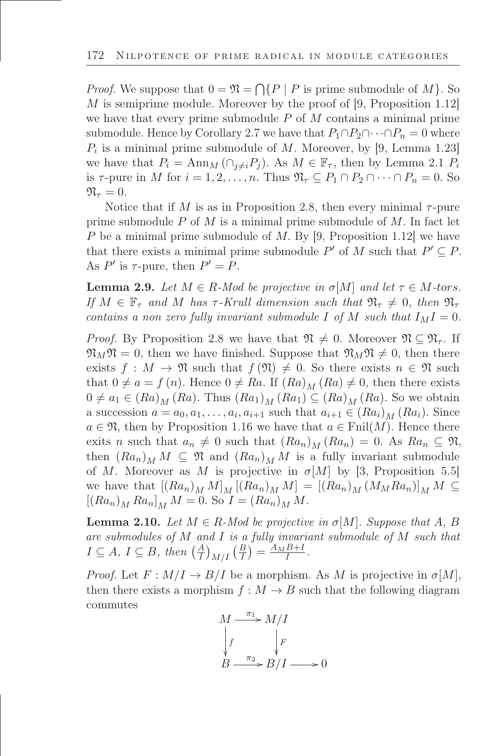*Proof.* We suppose that  $0 = \mathfrak{N} = \bigcap \{P \mid P \text{ is prime submodule of } M\}$ . So M is semiprime module. Moreover by the proof of [9, Proposition 1.12] we have that every prime submodule  $P$  of  $M$  contains a minimal prime submodule. Hence by Corollary 2.7 we have that  $P_1 \cap P_2 \cap \cdots \cap P_n = 0$  where  $P_i$  is a minimal prime submodule of M. Moreover, by [9, Lemma 1.23] we have that  $P_i = \text{Ann}_M(\bigcap_{i\neq i}P_i)$ . As  $M \in \mathbb{F}_{\tau}$ , then by Lemma 2.1  $P_i$ is  $\tau$ -pure in M for  $i = 1, 2, \ldots, n$ . Thus  $\mathfrak{N}_{\tau} \subseteq P_1 \cap P_2 \cap \cdots \cap P_n = 0$ . So  $\mathfrak{N}_{\tau}=0.$ 

Notice that if M is as in Proposition 2.8, then every minimal  $\tau$ -pure prime submodule  $P$  of  $M$  is a minimal prime submodule of  $M$ . In fact let P be a minimal prime submodule of M. By [9, Proposition 1.12] we have that there exists a minimal prime submodule  $P'$  of M such that  $P' \subseteq P$ . As  $P'$  is  $\tau$ -pure, then  $P' = P$ .

**Lemma 2.9.** Let  $M \in \mathbb{R}$ -Mod be projective in  $\sigma[M]$  and let  $\tau \in M$ -tors. *If*  $M \in \mathbb{F}_{\tau}$  and M has  $\tau$ -Krull dimension such that  $\mathfrak{N}_{\tau} \neq 0$ , then  $\mathfrak{N}_{\tau}$ *contains a non zero fully invariant submodule* I of M such that  $I_M I = 0$ .

*Proof.* By Proposition 2.8 we have that  $\mathfrak{N} \neq 0$ . Moreover  $\mathfrak{N} \subseteq \mathfrak{N}_{\tau}$ . If  $\mathfrak{N}_M\mathfrak{N}=0$ , then we have finished. Suppose that  $\mathfrak{N}_M\mathfrak{N}\neq 0$ , then there exists  $f : M \to \mathfrak{N}$  such that  $f(\mathfrak{N}) \neq 0$ . So there exists  $n \in \mathfrak{N}$  such that  $0 \neq a = f(n)$ . Hence  $0 \neq Ra$ . If  $(Ra)_M (Ra) \neq 0$ , then there exists  $0 \neq a_1 \in (Ra)_M (Ra)$ . Thus  $(Ra_1)_M (Ra_1) \subseteq (Ra)_M (Ra)$ . So we obtain a succession  $a = a_0, a_1, \ldots, a_i, a_{i+1}$  such that  $a_{i+1} \in (Ra_i)_M (Ra_i)$ . Since  $a \in \mathfrak{N}$ , then by Proposition 1.16 we have that  $a \in \text{Finl}(M)$ . Hence there exits n such that  $a_n \neq 0$  such that  $(Ra_n)_M (Ra_n) = 0$ . As  $Ra_n \subseteq \mathfrak{N}$ , then  $(Ra_n)_M M \subseteq \mathfrak{N}$  and  $(Ra_n)_M M$  is a fully invariant submodule of M. Moreover as M is projective in  $\sigma[M]$  by [3, Proposition 5.5] we have that  $[(Ra_n)_M M]_M [(Ra_n)_M M] = [(Ra_n)_M (M_M Ra_n)]_M M \subseteq$  $[(Ra_{n})_{M} Ra_{n}]_{M} M = 0.$  So  $I = (Ra_{n})_{M} M$ .

**Lemma 2.10.** Let  $M \in \mathbb{R}$ -Mod be projective in  $\sigma[M]$ . Suppose that A, B *are submodules of* M *and* I *is a fully invariant submodule of* M *such that*  $I \subseteq A, I \subseteq B$ , then  $\left(\frac{A}{I}\right)_{M/I} \left(\frac{B}{I}\right) = \frac{A_M B + I}{I}$ .

*Proof.* Let  $F: M/I \to B/I$  be a morphism. As M is projective in  $\sigma[M]$ , then there exists a morphism  $f : M \to B$  such that the following diagram commutes

$$
M \xrightarrow{\pi_1} M/I
$$
  
\n
$$
\downarrow f \qquad \qquad \downarrow F
$$
  
\n
$$
B \xrightarrow{\pi_2} B/I \longrightarrow 0
$$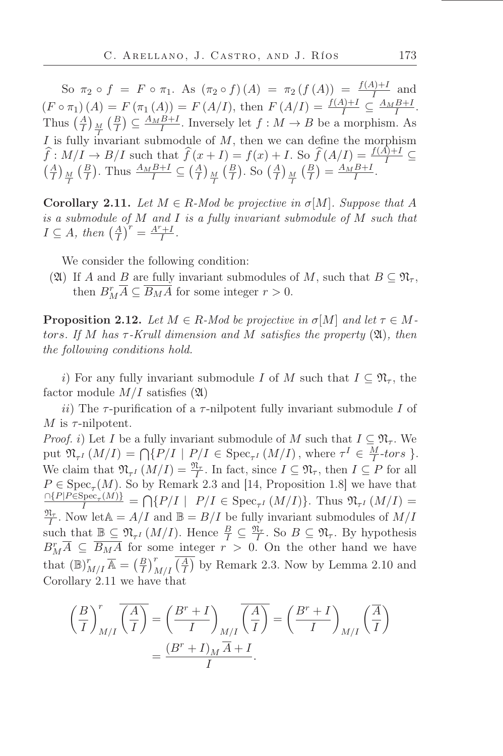So  $\pi_2 \circ f = F \circ \pi_1$ . As  $(\pi_2 \circ f)(A) = \pi_2(f(A)) = \frac{f(A)+I}{I}$  and I  $(F \circ \pi_1)(A) = F(\pi_1(A)) = F(A/I), \text{ then } F(A/I) = \frac{f(A)+I}{I} \subseteq \frac{A_M B+I}{I}.$ Thus  $\left(\frac{A}{I}\right)_{\frac{M}{I}}$  $\left(\frac{B}{I}\right) \subseteq \frac{A_M B + I}{I}$ . Inversely let  $f : M \to B$  be a morphism. As I is fully invariant submodule of  $M$ , then we can define the morphism  $\widehat{f}: M/I \to B/I$  such that  $\widehat{f}(x + I) = f(x) + I$ . So  $\widehat{f}(A/I) = \frac{f(A)+I}{I} \subseteq$  $\left(\frac{A}{I}\right)_{\frac{M}{I}}$  $\left(\frac{B}{I}\right)$ . Thus  $\frac{A_{M}B+I}{I} \subseteq \left(\frac{A}{I}\right)_{\frac{M}{I}}$  $\left(\frac{B}{I}\right)$ . So  $\left(\frac{A}{I}\right)$   $\frac{M}{I}$  $\left(\frac{B}{I}\right) = \frac{A_M B + I}{I}.$ 

**Corollary 2.11.** *Let*  $M \in R$ *-Mod be projective in*  $\sigma[M]$ *. Suppose that* A *is a submodule of* M *and* I *is a fully invariant submodule of* M *such that*  $I \subseteq A$ , then  $\left(\frac{A}{I}\right)^r = \frac{A^r + I}{I}$  $\frac{+1}{I}$ .

We consider the following condition:

(2) If A and B are fully invariant submodules of M, such that  $B \subseteq \mathfrak{N}_{\tau}$ , then  $B_M^r \overline{A} \subseteq \overline{B_M A}$  for some integer  $r > 0$ .

**Proposition 2.12.** Let  $M \in R$ -Mod be projective in  $\sigma[M]$  and let  $\tau \in M$ tors*. If* M *has* τ *-Krull dimension and* M *satisőes the property* (A)*, then the following conditions hold.*

i) For any fully invariant submodule I of M such that  $I \subseteq \mathfrak{N}_{\tau}$ , the factor module  $M/I$  satisfies  $(\mathfrak{A})$ 

ii) The  $\tau$ -purification of a  $\tau$ -nilpotent fully invariant submodule I of M is  $\tau$ -nilpotent.

*Proof.* i) Let I be a fully invariant submodule of M such that  $I \subseteq \mathfrak{N}_{\tau}$ . We put  $\mathfrak{N}_{\tau^I}(M/I) = \bigcap \{P/I \mid P/I \in \text{Spec}_{\tau^I}(M/I), \text{where } \tau^I \in \frac{M}{I}\}$  $\frac{M}{I}$ -tors }. We claim that  $\mathfrak{N}_{\tau^I}(M/I) = \frac{\mathfrak{N}_{\tau}}{I}$ . In fact, since  $I \subseteq \mathfrak{N}_{\tau}$ , then  $I \subseteq P$  for all  $P \in \text{Spec}_{\tau}(M)$ . So by Remark 2.3 and [14, Proposition 1.8] we have that  $\frac{\cap \{P|P \in \text{Spec}_{\tau}(M)\}}{I} = \bigcap \{P/I \mid P/I \in \text{Spec}_{\tau^I}(M/I)\}.$  Thus  $\mathfrak{N}_{\tau^I}(M/I) =$  $\frac{\mathfrak{N}_{\tau}}{I}$ . Now let  $\mathbb{A} = A/I$  and  $\mathbb{B} = B/I$  be fully invariant submodules of  $M/I$ such that  $\underline{\mathbb{B}} \subseteq \mathfrak{N}_{\tau^I}(M/I)$ . Hence  $\frac{B}{I} \subseteq \frac{\mathfrak{N}_{\tau}}{I}$ . So  $B \subseteq \mathfrak{N}_{\tau}$ . By hypothesis  $B_M^r \overline{A} \subseteq \overline{B_M A}$  for some integer  $r > 0$ . On the other hand we have that  $(\mathbb{B})_{M/I}^r \overline{\mathbb{A}} = (\frac{B}{I})_{M/I}^r (\overline{\frac{A}{I}})$  by Remark 2.3. Now by Lemma 2.10 and Corollary 2.11 we have that

$$
\left(\frac{B}{I}\right)^r_{M/I} \overline{\left(\frac{A}{I}\right)} = \left(\frac{B^r + I}{I}\right)_{M/I} \overline{\left(\frac{A}{I}\right)} = \left(\frac{B^r + I}{I}\right)_{M/I} \left(\frac{\overline{A}}{I}\right)
$$

$$
= \frac{(B^r + I)_M \overline{A} + I}{I}.
$$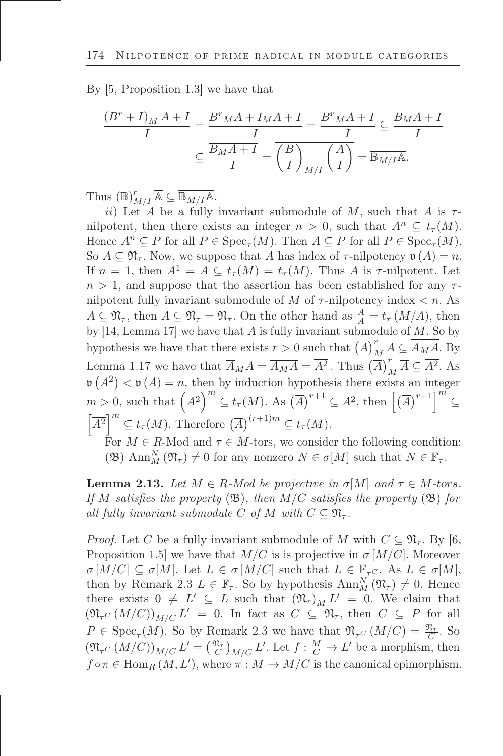By [5, Proposition 1.3] we have that

$$
\frac{(B^r + I)_M \overline{A} + I}{I} = \frac{B^r M \overline{A} + I_M \overline{A} + I}{I} = \frac{B^r M \overline{A} + I}{I} \subseteq \frac{\overline{B_M A} + I}{I}
$$

$$
\subseteq \frac{\overline{B_M A + I}}{I} = \overline{\left(\frac{B}{I}\right)_{M/I}} \left(\frac{A}{I}\right) = \overline{\mathbb{B}_{M/I}} \mathbb{A}.
$$

Thus  $(\mathbb{B})_{M/I}^r \overline{\mathbb{A}} \subseteq \overline{\mathbb{B}_{M/I}\mathbb{A}}$ .

ii) Let A be a fully invariant submodule of M, such that A is  $\tau$ nilpotent, then there exists an integer  $n > 0$ , such that  $A^n \subset t_\tau(M)$ . Hence  $A^n \subseteq P$  for all  $P \in \text{Spec}_{\tau}(M)$ . Then  $A \subseteq P$  for all  $P \in \text{Spec}_{\tau}(M)$ . So  $A \subseteq \mathfrak{N}_{\tau}$ . Now, we suppose that A has index of  $\tau$ -nilpotency  $\mathfrak{v}(A) = n$ . If  $n = 1$ , then  $\overline{A^1} = \overline{A} \subseteq \overline{t_\tau(M)} = t_\tau(M)$ . Thus  $\overline{A}$  is  $\tau$ -nilpotent. Let  $n > 1$ , and suppose that the assertion has been established for any  $\tau$ nilpotent fully invariant submodule of  $M$  of  $\tau$ -nilpotency index  $\lt n$ . As  $A \subseteq \mathfrak{N}_{\tau}$ , then  $\overline{A} \subseteq \overline{\mathfrak{N}_{\tau}} = \mathfrak{N}_{\tau}$ . On the other hand as  $\frac{A}{A} = t_{\tau} (M/A)$ , then by [14, Lemma 17] we have that  $\overline{A}$  is fully invariant submodule of M. So by hypothesis we have that there exists  $r > 0$  such that  $(\overline{A})_M^r \overline{A} \subseteq \overline{\overline{A}_M A}$ . By Lemma 1.17 we have that  $\overline{A}_{M}A = \overline{A_{M}A} = \overline{A^2}$ . Thus  $(\overline{A})_M^r \overline{A} \subseteq \overline{A^2}$ . As  $\mathfrak{v}(A^2) < \mathfrak{v}(A) = n$ , then by induction hypothesis there exists an integer  $m > 0$ , such that  $(\overline{A^2})^m \subseteq t_\tau(M)$ . As  $(\overline{A})^{r+1} \subseteq \overline{A^2}$ , then  $[(\overline{A})^{r+1}]^m \subseteq$  $\left[\overline{A^2}\right]^m \subseteq t_\tau(M)$ . Therefore  $\left(\overline{A}\right)^{(r+1)m} \subseteq t_\tau(M)$ .

For  $M \in R$ -Mod and  $\tau \in M$ -tors, we consider the following condition: (B)  $\text{Ann}_M^N(\mathfrak{N}_\tau) \neq 0$  for any nonzero  $N \in \sigma[M]$  such that  $N \in \mathbb{F}_\tau$ .

**Lemma 2.13.** Let  $M \in R$ -Mod be projective in  $\sigma[M]$  and  $\tau \in M$ -tors. *If* M *satisfies the property*  $(\mathfrak{B})$ *, then*  $M/C$  *satisfies the property*  $(\mathfrak{B})$  *for all fully invariant submodule* C *of* M *with*  $C \subseteq \mathfrak{N}_{\tau}$ .

*Proof.* Let C be a fully invariant submodule of M with  $C \subset \mathfrak{N}_{\tau}$ . By [6, Proposition 1.5] we have that  $M/C$  is is projective in  $\sigma$  [M/C]. Moreover  $\sigma [M/C] \subseteq \sigma [M]$ . Let  $L \in \sigma [M/C]$  such that  $L \in \mathbb{F}_{\tau}$ . As  $L \in \sigma [M]$ , then by Remark 2.3  $L \in \mathbb{F}_{\tau}$ . So by hypothesis  $\text{Ann}_M^N(\mathfrak{N}_{\tau}) \neq 0$ . Hence there exists  $0 \neq L' \subseteq L$  such that  $(\mathfrak{N}_{\tau})_M L' = 0$ . We claim that  $(\mathfrak{N}_{\tau^C}(M/C))_{M/C}L' = 0.$  In fact as  $C \subseteq \mathfrak{N}_{\tau}$ , then  $C \subseteq P$  for all  $P \in \text{Spec}_{\tau}(M)$ . So by Remark 2.3 we have that  $\mathfrak{N}_{\tau} C (M/C) = \frac{\mathfrak{N}_{\tau}}{C}$ . So  $(\mathfrak{N}_{\tau C} (M/C))_{M/C} L' = (\frac{\mathfrak{N}_{\tau}}{C})_{M/C} L'$ . Let  $f : \frac{M}{C} \to L'$  be a morphism, then  $f \circ \pi \in \text{Hom}_{R}(M, L')$ , where  $\pi : M \to M/C$  is the canonical epimorphism.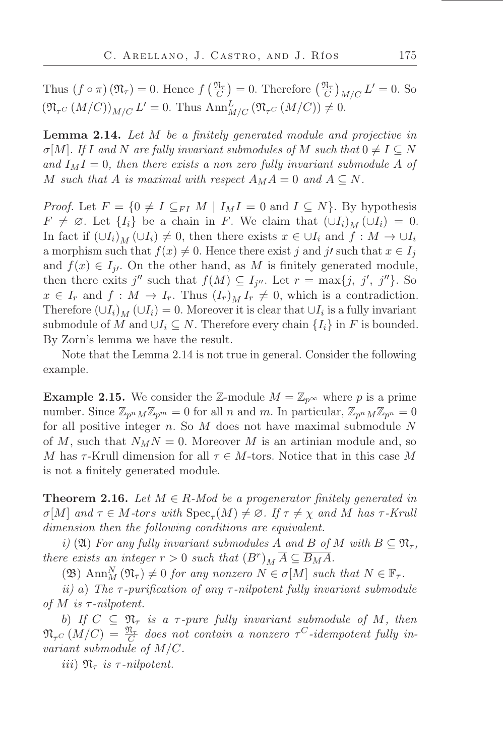Thus  $(f \circ \pi)(\mathfrak{N}_{\tau}) = 0$ . Hence  $f\left(\frac{\mathfrak{N}_{\tau}}{C}\right) = 0$ . Therefore  $\left(\frac{\mathfrak{N}_{\tau}}{C}\right)_{M/C} L' = 0$ . So  $(\mathfrak{N}_{\tau C} (M/C))_{M/C} L' = 0$ . Thus  $\text{Ann}_{M/C}^L (\mathfrak{N}_{\tau C} (M/C)) \neq 0$ .

Lemma 2.14. *Let* M *be a őnitely generated module and projective in*  $\sigma[M]$ *. If* I and N are fully invariant submodules of M such that  $0 \neq I \subseteq N$ and  $I_M I = 0$ , then there exists a non zero fully invariant submodule A of M such that A is maximal with respect  $A_M A = 0$  and  $A \subseteq N$ .

*Proof.* Let  $F = \{0 \neq I \subseteq FI \mid M \mid I_M I = 0 \text{ and } I \subseteq N\}$ . By hypothesis  $F \neq \emptyset$ . Let  $\{I_i\}$  be a chain in F. We claim that  $(UI_i)_M (UI_i) = 0$ . In fact if  $(\bigcup I_i)_M$   $(\bigcup I_i) \neq 0$ , then there exists  $x \in \bigcup I_i$  and  $f : M \to \bigcup I_i$ a morphism such that  $f(x) \neq 0$ . Hence there exist j and j' such that  $x \in I_j$ and  $f(x) \in I_{j'}$ . On the other hand, as M is finitely generated module, then there exits  $j''$  such that  $f(M) \subseteq I_{j''}$ . Let  $r = \max\{j, j', j''\}$ . So  $x \in I_r$  and  $f: M \to I_r$ . Thus  $(I_r)_M I_r \neq 0$ , which is a contradiction. Therefore  $(UI_i)_M (UI_i) = 0$ . Moreover it is clear that  $UI_i$  is a fully invariant submodule of M and  $\bigcup_i \subseteq N$ . Therefore every chain  $\{I_i\}$  in F is bounded. By Zorn's lemma we have the result.

Note that the Lemma 2.14 is not true in general. Consider the following example.

**Example 2.15.** We consider the Z-module  $M = \mathbb{Z}_{p^{\infty}}$  where p is a prime number. Since  $\mathbb{Z}_{p^nM}\mathbb{Z}_{p^m} = 0$  for all n and m. In particular,  $\mathbb{Z}_{p^nM}\mathbb{Z}_{p^n} = 0$ for all positive integer  $n$ . So  $M$  does not have maximal submodule  $N$ of M, such that  $N_MN = 0$ . Moreover M is an artinian module and, so M has  $\tau$ -Krull dimension for all  $\tau \in M$ -tors. Notice that in this case M is not a finitely generated module.

**Theorem 2.16.** *Let*  $M \in R$ *-Mod be a progenerator finitely generated in*  $\sigma[M]$  and  $\tau \in M$ -tors with  $Spec_{\tau}(M) \neq \emptyset$ . If  $\tau \neq \chi$  and M has  $\tau$ -Krull *dimension then the following conditions are equivalent.*

*i*) (2) For any fully invariant submodules A and B of M with  $B \subseteq \mathfrak{N}_{\tau}$ , *there exists an integer*  $r > 0$  *such that*  $(B^r)_M \overline{A} \subseteq \overline{B_M A}$ .

( $\mathfrak{B}$ ) Ann<sup>N</sup><sub>M</sub> ( $\mathfrak{N}_{\tau}$ )  $\neq$  0 *for any nonzero*  $N \in \sigma$ [M] *such that*  $N \in \mathbb{F}_{\tau}$ *.* 

*ii)* a) *The* τ *-puriőcation of any* τ *-nilpotent fully invariant submodule of* M *is* τ *-nilpotent.*

b) *If*  $C \subseteq \mathfrak{N}_{\tau}$  *is a*  $\tau$ -pure fully invariant submodule of M, then  $\mathfrak{N}_{\tau^C}\left(M/C\right) = \frac{\mathfrak{N}_\tau}{C}$  does not contain a nonzero  $\tau^C$ -idempotent fully in*variant submodule of* M/C*.*

iii)  $\mathfrak{N}_{\tau}$  *is*  $\tau$ -nilpotent.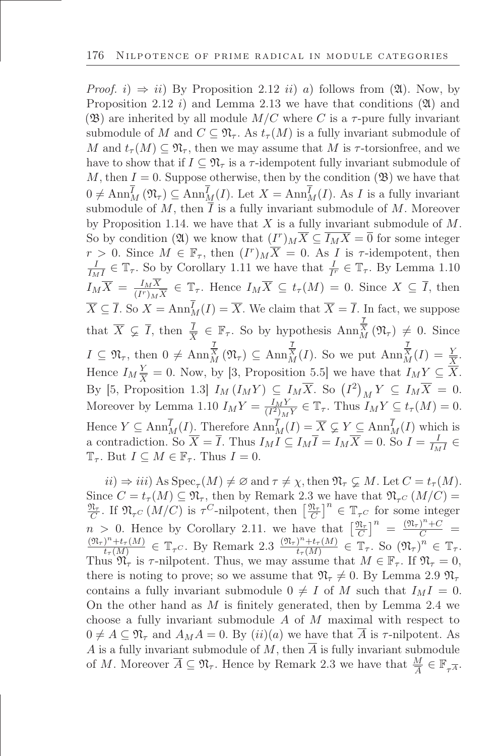*Proof.* i)  $\Rightarrow$  ii) By Proposition 2.12 ii) a) follows from (20). Now, by Proposition 2.12 i) and Lemma 2.13 we have that conditions  $(21)$  and (B) are inherited by all module  $M/C$  where C is a  $\tau$ -pure fully invariant submodule of M and  $C \subseteq \mathfrak{N}_{\tau}$ . As  $t_{\tau}(M)$  is a fully invariant submodule of M and  $t_{\tau}(M) \subseteq \mathfrak{N}_{\tau}$ , then we may assume that M is  $\tau$ -torsionfree, and we have to show that if  $I \subseteq \mathfrak{N}_{\tau}$  is a  $\tau$ -idempotent fully invariant submodule of M, then  $I = 0$ . Suppose otherwise, then by the condition  $(\mathfrak{B})$  we have that  $0 \neq \text{Ann}_M^I(\mathfrak{N}_{\tau}) \subseteq \text{Ann}_M^I(I)$ . Let  $X = \text{Ann}_M^I(I)$ . As I is a fully invariant submodule of M, then  $\overline{I}$  is a fully invariant submodule of M. Moreover by Proposition 1.14. we have that  $X$  is a fully invariant submodule of  $M$ . So by condition (24) we know that  $(I^r)_M \overline{X} \subseteq \overline{I_M X} = \overline{0}$  for some integer  $r > 0$ . Since  $M \in \mathbb{F}_{\tau}$ , then  $(I^r)_M \overline{X} = 0$ . As  $I$  is  $\tau$ -idempotent, then I  $\frac{I}{I_M I} \in \mathbb{T}_{\tau}$ . So by Corollary 1.11 we have that  $\frac{I}{I^r} \in \mathbb{T}_{\tau}$ . By Lemma 1.10  $I_M\overline{X} = \frac{I_M X}{(I^r)_M}$  $\frac{I_M A}{(I^r)_M \overline{X}} \in \mathbb{T}_{\tau}$ . Hence  $I_M X \subseteq t_{\tau}(M) = 0$ . Since  $X \subseteq I$ , then  $\overline{X} \subseteq \overline{I}$ . So  $X = \text{Ann}_M^I(I) = \overline{X}$ . We claim that  $\overline{X} = \overline{I}$ . In fact, we suppose that  $\overline{X} \subsetneq \overline{I}$ , then  $\frac{\overline{I}}{X} \in \mathbb{F}_{\tau}$ . So by hypothesis  $\text{Ann}_{M}^{\frac{1}{X}}(\mathfrak{N}_{\tau}) \neq 0$ . Since X  $I \subseteq \mathfrak{N}_{\tau}$ , then  $0 \neq \text{Ann}_{M}^{\frac{1}{X}}(\mathfrak{N}_{\tau}) \subseteq \text{Ann}_{M}^{\frac{1}{X}}(I)$ . So we put  $\text{Ann}_{M}^{\frac{1}{X}}(I) = \frac{Y}{\overline{X}}$ . Hence  $I_M \frac{Y}{\overline{X}}$  $\frac{Y}{\overline{X}} = 0$ . Now, by [3, Proposition 5.5] we have that  $I_M Y \subseteq X$ . By [5, Proposition 1.3]  $I_M (I_M Y) \subseteq I_M \overline{X}$ . So  $(I^2)_M Y \subseteq I_M \overline{X} = 0$ . Moreover by Lemma 1.10  $I_M Y = \frac{I_M Y}{(I^2)_M Y} \in \mathbb{T}_{\tau}$ . Thus  $I_M Y \subseteq t_{\tau}(M) = 0$ . Hence  $Y \subseteq \text{Ann}_M^I(I)$ . Therefore  $\text{Ann}_M^I(I) = \overline{X} \subsetneq Y \subseteq \text{Ann}_M^I(I)$  which is a contradiction. So  $\overline{X} = \overline{I}$ . Thus  $I_M I \subseteq I_M \overline{I} = I_M \overline{X} = 0$ . So  $I = \frac{1}{I_M}$  $\frac{1}{I_M I}$  $\mathbb{T}_{\tau}$ . But  $I \subseteq M \in \mathbb{F}_{\tau}$ . Thus  $I = 0$ .

 $ii) \Rightarrow iii)$  As  $Spec_{\tau}(M) \neq \emptyset$  and  $\tau \neq \chi$ , then  $\mathfrak{N}_{\tau} \subsetneq M$ . Let  $C = t_{\tau}(M)$ . Since  $C = t_{\tau}(M) \subseteq \mathfrak{N}_{\tau}$ , then by Remark 2.3 we have that  $\mathfrak{N}_{\tau} C (M/C) =$  $\frac{\mathfrak{N}_{\tau}}{C}$ . If  $\mathfrak{N}_{\tau}C(M/C)$  is  $\tau^C$ -nilpotent, then  $\left[\frac{\mathfrak{N}_{\tau}}{C}\right]^n \in \mathbb{T}_{\tau}C$  for some integer  $n > 0$ . Hence by Corollary 2.11. we have that  $\left[\frac{\mathfrak{N}_{\tau}}{C}\right]^{n} = \frac{(\mathfrak{N}_{\tau})^{n} + C}{C}$  $(\mathfrak{N}_{\tau})^n+t_{\tau}(M)$  $\frac{\partial^{n} t}{\partial t_{\tau}(M)} \in \mathbb{T}_{\tau}$ c. By Remark 2.3  $\frac{(\mathfrak{N}_{\tau})^{n} + t_{\tau}(M)}{t_{\tau}(M)}$  $\frac{\int_{t}^{n} + t_{\tau}(M)}{t_{\tau}(M)} \in \mathbb{T}_{\tau}$ . So  $(\mathfrak{N}_{\tau})^{n} \in \mathbb{T}_{\tau}$ . Thus  $\mathfrak{N}_{\tau}$  is  $\tau$ -nilpotent. Thus, we may assume that  $M \in \mathbb{F}_{\tau}$ . If  $\mathfrak{N}_{\tau} = 0$ , there is noting to prove; so we assume that  $\mathfrak{N}_{\tau} \neq 0$ . By Lemma 2.9  $\mathfrak{N}_{\tau}$ contains a fully invariant submodule  $0 \neq I$  of M such that  $I_M I = 0$ . On the other hand as  $M$  is finitely generated, then by Lemma 2.4 we choose a fully invariant submodule A of M maximal with respect to  $0 \neq A \subseteq \mathfrak{N}_{\tau}$  and  $A_{M}A = 0$ . By  $(ii)(a)$  we have that  $\overline{A}$  is  $\tau$ -nilpotent. As A is a fully invariant submodule of M, then  $\overline{A}$  is fully invariant submodule of M. Moreover  $\overline{A} \subseteq \mathfrak{N}_{\tau}$ . Hence by Remark 2.3 we have that  $\frac{M}{\overline{A}} \in \mathbb{F}_{\tau}$ .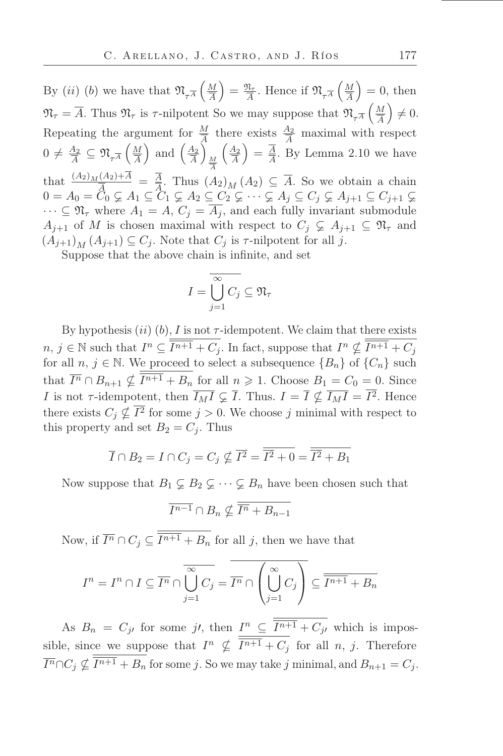By *(ii) (b)* we have that  $\mathfrak{N}_{\tau^{\overline{A}}}$   $\left(\frac{M}{\overline{A}}\right)$ A  $=\frac{\mathfrak{N}_{\tau}}{\overline{4}}$  $\frac{\mathfrak{N}_{\tau}}{\overline{A}}$ . Hence if  $\mathfrak{N}_{\tau\overline{A}}\left(\frac{M}{\overline{A}}\right)$ A  $= 0$ , then  $\mathfrak{N}_{\tau} = \overline{A}$ . Thus  $\mathfrak{N}_{\tau}$  is  $\tau$ -nilpotent So we may suppose that  $\mathfrak{N}_{\tau}A \left(\frac{M}{\overline{A}}\right)$ A  $\Big) \neq 0.$ Repeating the argument for  $\frac{M}{A}$  there exists  $\frac{A_2}{A}$  maximal with respect  $0 \neq \frac{A_2}{4}$  $\frac{A_2}{\overline{A}} \subseteq \mathfrak{N}_{\tau^{\overline{A}}} \left( \frac{M}{\overline{A}} \right)$ A ) and  $\left(\frac{A_2}{4}\right)$ A Ï  $\overline{M}$ that  $\frac{(A_2)_M (A_2) + \overline{A}}{\overline{A}} = \frac{\overline{A}}{\overline{A}}$ . Thus  $(A_2)_M (A_3)_M = \frac{\overline{A}}{\overline{A}}$  $\int$   $\overline{A_2}$ A  $=\frac{\overline{A}}{\overline{A}}$  $\frac{A}{\overline{A}}$ . By Lemma 2.10 we have  $\frac{A}{A}$ . Thus  $(A_2)$   $(A_2) \subseteq A$ . So we obtain a chain  $0 = A_0 = C_0 \varsubsetneq A_1 \subseteq C_1 \varsubsetneq A_2 \subseteq C_2 \varsubsetneq \cdots \varsubsetneq A_j \subseteq C_j \varsubsetneq A_{j+1} \subseteq C_{j+1} \varsubsetneq$  $\cdots \subseteq \mathfrak{N}_{\tau}$  where  $A_1 = A, C_i = \overline{A_i}$ , and each fully invariant submodule  $A_{i+1}$  of M is chosen maximal with respect to  $C_i \subsetneq A_{i+1} \subseteq \mathfrak{N}_{\tau}$  and  $(A_{j+1})_M (A_{j+1}) \subseteq C_j$ . Note that  $C_j$  is  $\tau$ -nilpotent for all j.

Suppose that the above chain is infinite, and set

$$
I = \overline{\bigcup_{j=1}^{\infty} C_j} \subseteq \mathfrak{N}_{\tau}
$$

By hypothesis  $(ii)$  (b), I is not  $\tau$ -idempotent. We claim that there exists  $n, j \in \mathbb{N}$  such that  $I^n \subseteq \overline{I^{n+1}} + C_j$ . In fact, suppose that  $I^n \nsubseteq \overline{I^{n+1}} + C_j$ for all  $n, j \in \mathbb{N}$ . We proceed to select a subsequence  $\{B_n\}$  of  $\{C_n\}$  such that  $\overline{I^n} \cap B_{n+1} \nsubseteq I^{n+1} + B_n$  for all  $n \geq 1$ . Choose  $B_1 = C_0 = 0$ . Since I is not  $\tau$ -idempotent, then  $\overline{I_M I} \subsetneq \overline{I}$ . Thus.  $I = \overline{I} \nsubseteq \overline{I_M I} = I^2$ . Hence there exists  $C_j \nsubseteq I^2$  for some  $j > 0$ . We choose j minimal with respect to this property and set  $B_2 = C_i$ . Thus

$$
\overline{I} \cap B_2 = I \cap C_j = C_j \nsubseteq \overline{I^2} = \overline{\overline{I^2} + 0} = \overline{\overline{I^2} + B_1}
$$

Now suppose that  $B_1 \subsetneq B_2 \subsetneq \cdots \subsetneq B_n$  have been chosen such that

$$
\overline{I^{n-1}} \cap B_n \nsubseteq \overline{\overline{I^n} + B_{n-1}}
$$

Now, if  $\overline{I^n} \cap C_j \subseteq I^{n+1} + B_n$  for all j, then we have that

$$
I^{n} = I^{n} \cap I \subseteq \overline{I^{n}} \cap \overline{\bigcup_{j=1}^{\infty} C_{j}} = \overline{I^{n}} \cap \left(\bigcup_{j=1}^{\infty} C_{j}\right) \subseteq \overline{\overline{I^{n+1}} + B_{n}}
$$

As  $B_n = C_{j}$  for some j', then  $I^n \subseteq \overline{I^{n+1}} + C_{j}$  which is impossible, since we suppose that  $I^n \nsubseteq \overline{I^{n+1}} + C_j$  for all n, j. Therefore  $\overline{I^n} \cap C_j \nsubseteq I^{n+1} + B_n$  for some j. So we may take j minimal, and  $B_{n+1} = C_j$ .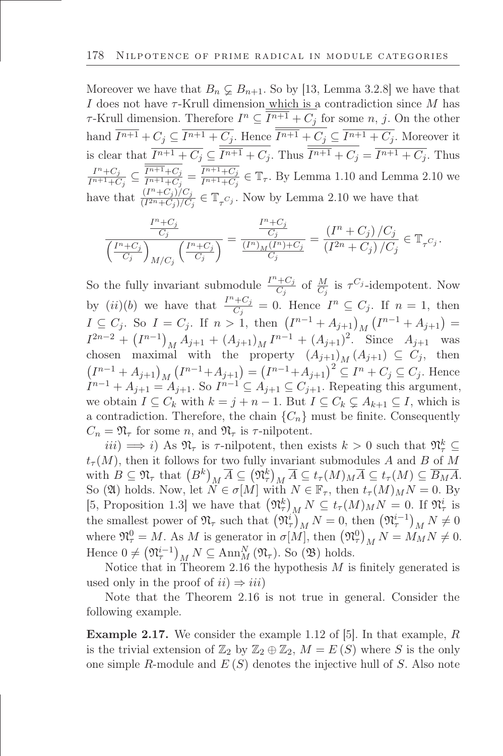Moreover we have that  $B_n \subsetneq B_{n+1}$ . So by [13, Lemma 3.2.8] we have that I does not have  $\tau$ -Krull dimension which is a contradiction since M has  $\tau$ -Krull dimension. Therefore  $I^n \subseteq I^{n+1} + C_j$  for some  $n, j$ . On the other hand  $I^{n+1} + C_j \subseteq I^{n+1} + C_j$ . Hence  $I^{n+1} + C_j \subseteq I^{n+1} + C_j$ . Moreover it is clear that  $I^{n+1} + C_j \subseteq I^{n+1} + C_j$ . Thus  $I^{n+1} + C_j = I^{n+1} + C_j$ . Thus  $I^n+C_j$  $\frac{I^{n}+C_j}{I^{n+1}+C_j} \subseteq \frac{I^{n+1}+C_j}{I^{n+1}+C_j}$  $\frac{I^{n+1}+C_j}{I^{n+1}+C_j} = \frac{I^{n+1}+C_j}{I^{n+1}+C_j}$  $\frac{I^{n+1}+C_j}{I^{n+1}+C_j} \in \mathbb{T}_{\tau}$ . By Lemma 1.10 and Lemma 2.10 we have that  $\frac{(I^n+C_j)/C_j}{(I^{2n}+C_i)/C_j}$  $\frac{(1+\epsilon_j)/\epsilon_j}{(I^{2n}+\epsilon_j)/\epsilon_j} \in \mathbb{T}_{\tau}$  C<sub>j</sub>. Now by Lemma 2.10 we have that

$$
\frac{\frac{I^n+C_j}{C_j}}{\left(\frac{I^n+C_j}{C_j}\right)_{M/C_j}\left(\frac{I^n+C_j}{C_j}\right)} = \frac{\frac{I^n+C_j}{C_j}}{\frac{(I^n)_M(I^n)+C_j}{C_j}} = \frac{(I^n+C_j)/C_j}{(I^{2n}+C_j)/C_j} \in \mathbb{T}_{\tau^{C_j}}.
$$

So the fully invariant submodule  $\frac{I^{n}+C_j}{C_i}$  $\frac{C_i+C_j}{C_j}$  of  $\frac{M}{C_j}$  is  $\tau^{C_j}$ -idempotent. Now by  $(ii)(b)$  we have that  $\frac{I^{n}+C_j}{C_i}$  $\frac{C+C_j}{C_j} = 0$ . Hence  $I^n \subseteq C_j$ . If  $n = 1$ , then  $I \subseteq C_j$ . So  $I = C_j$ . If  $n > 1$ , then  $(I^{n-1} + A_{j+1})_M (I^{n-1} + A_{j+1}) =$  $I^{2n-2} + (I^{n-1})_M A_{j+1} + (A_{j+1})_M I^{n-1} + (A_{j+1})^2$ . Since  $A_{j+1}$  was chosen maximal with the property  $(A_{j+1})_M (A_{j+1}) \subseteq C_j$ , then  $(I^{n-1} + A_{j+1})_M (I^{n-1} + A_{j+1}) = (I^{n-1} + A_{j+1})^2 \subseteq I^n + C_j \subseteq C_j$ . Hence  $I^{n-1} + A_{j+1} = A_{j+1}$ . So  $I^{n-1} \subseteq A_{j+1} \subseteq C_{j+1}$ . Repeating this argument, we obtain  $I \subseteq C_k$  with  $k = j + n - 1$ . But  $I \subseteq C_k \subsetneq A_{k+1} \subseteq I$ , which is a contradiction. Therefore, the chain  $\{C_n\}$  must be finite. Consequently  $C_n = \mathfrak{N}_{\tau}$  for some n, and  $\mathfrak{N}_{\tau}$  is  $\tau$ -nilpotent.

 $iii) \Longrightarrow i$ ) As  $\mathfrak{N}_{\tau}$  is  $\tau$ -nilpotent, then exists  $k > 0$  such that  $\mathfrak{N}_{\tau}^{k} \subseteq$  $t_{\tau}(M)$ , then it follows for two fully invariant submodules A and B of M with  $B \subseteq \mathfrak{N}_{\tau}$  that  $(B^k)_{M} \overline{A} \subseteq (\mathfrak{N}_{\tau}^k)_{M} \overline{A} \subseteq t_{\tau}(M)_{M} \overline{A} \subseteq t_{\tau}(M) \subseteq \overline{B_{M}A}$ . So (20) holds. Now, let  $\overline{N} \in \sigma[M]$  with  $N \in \mathbb{F}_{\tau}$ , then  $t_{\tau}(M)_M N = 0$ . By [5, Proposition 1.3] we have that  $(\mathfrak{N}_{\tau})_M N \subseteq t_{\tau}(M)_M N = 0$ . If  $\mathfrak{N}_{\tau}^i$  is the smallest power of  $\mathfrak{N}_{\tau}$  such that  $(\mathfrak{N}_{\tau}^{i})_{M}^{T} N = 0$ , then  $(\mathfrak{N}_{\tau}^{i-1})_{M}^{T} N \neq 0$ where  $\mathfrak{N}_{\tau}^0 = M$ . As M is generator in  $\sigma[M]$ , then  $(\mathfrak{N}_{\tau}^0)_M N = M_M N \neq 0$ . Hence  $0 \neq (\mathfrak{N}_{\tau}^{i-1})_M N \subseteq \text{Ann}_M^N (\mathfrak{N}_{\tau}).$  So  $(\mathfrak{B})$  holds.

Notice that in Theorem 2.16 the hypothesis  $M$  is finitely generated is used only in the proof of  $ii) \Rightarrow iii$ 

Note that the Theorem 2.16 is not true in general. Consider the following example.

Example 2.17. We consider the example 1.12 of [5]. In that example, R is the trivial extension of  $\mathbb{Z}_2$  by  $\mathbb{Z}_2 \oplus \mathbb{Z}_2$ ,  $M = E(S)$  where S is the only one simple R-module and  $E(S)$  denotes the injective hull of S. Also note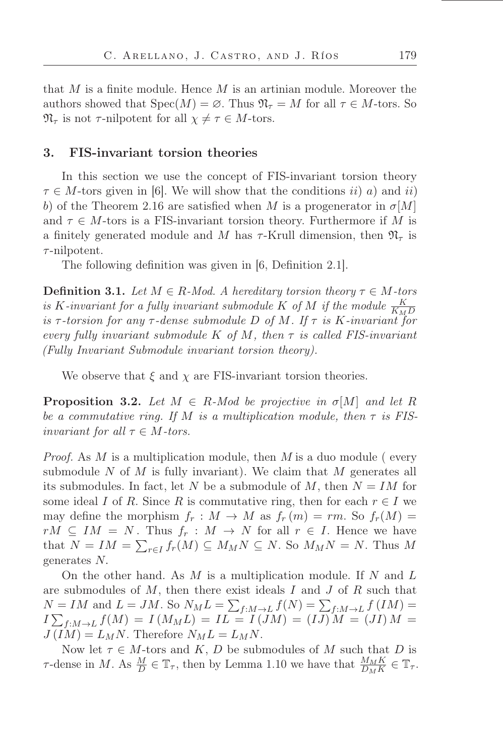that  $M$  is a finite module. Hence  $M$  is an artinian module. Moreover the authors showed that  $Spec(M) = \emptyset$ . Thus  $\mathfrak{N}_{\tau} = M$  for all  $\tau \in M$ -tors. So  $\mathfrak{N}_{\tau}$  is not  $\tau$ -nilpotent for all  $\chi \neq \tau \in M$ -tors.

## 3. FIS-invariant torsion theories

In this section we use the concept of FIS-invariant torsion theory  $\tau \in M$ -tors given in [6]. We will show that the conditions ii) a) and ii) b) of the Theorem 2.16 are satisfied when M is a progenerator in  $\sigma$ [M] and  $\tau \in M$ -tors is a FIS-invariant torsion theory. Furthermore if M is a finitely generated module and M has  $\tau$ -Krull dimension, then  $\mathfrak{N}_{\tau}$  is  $\tau$ -nilpotent.

The following definition was given in [6, Definition 2.1].

**Definition 3.1.** *Let*  $M \in R$ *-Mod. A hereditary torsion theory*  $\tau \in M$ *-tors is* K-invariant for a fully invariant submodule K of M if the module  $\frac{K}{K_M D}$  $i$ *s*  $\tau$ *-torsion for any*  $\tau$ *-dense submodule* D *of* M. If  $\tau$  *is* K*-invariant for every fully invariant submodule* K *of* M*, then* τ *is called FIS-invariant (Fully Invariant Submodule invariant torsion theory).*

We observe that  $\xi$  and  $\chi$  are FIS-invariant torsion theories.

**Proposition 3.2.** Let  $M \in R$ -Mod be projective in  $\sigma[M]$  and let R *be a commutative ring. If* M *is a multiplication module, then* τ *is FISinvariant for all*  $\tau \in M$ *-tors.* 

*Proof.* As M is a multiplication module, then M is a duo module (every submodule N of M is fully invariant). We claim that M generates all its submodules. In fact, let N be a submodule of M, then  $N = IM$  for some ideal I of R. Since R is commutative ring, then for each  $r \in I$  we may define the morphism  $f_r : M \to M$  as  $f_r(m) = rm$ . So  $f_r(M) =$  $rM \subseteq IM = N$ . Thus  $f_r : M \to N$  for all  $r \in I$ . Hence we have that  $N = IM = \sum_{r \in I} f_r(M) \subseteq M_M N \subseteq N$ . So  $M_M N = N$ . Thus M generates N.

On the other hand. As  $M$  is a multiplication module. If  $N$  and  $L$ are submodules of  $M$ , then there exist ideals  $I$  and  $J$  of  $R$  such that  $N = IM$  and  $L = JM$ . So  $N_M L = \sum_{f:M \to L} f(N) = \sum_{f:M \to L} f(IM) =$  $I \sum_{f:M \to L} f(M) = I(M_M L) = IL = I(\overline{J}M) = (IJ)M = (JI)M =$  $J(IM) = L_M N$ . Therefore  $N_M L = L_M N$ .

Now let  $\tau \in M$ -tors and K, D be submodules of M such that D is  $\tau$ -dense in M. As  $\frac{M}{D} \in \mathbb{T}_{\tau}$ , then by Lemma 1.10 we have that  $\frac{M_M K}{D_M K} \in \mathbb{T}_{\tau}$ .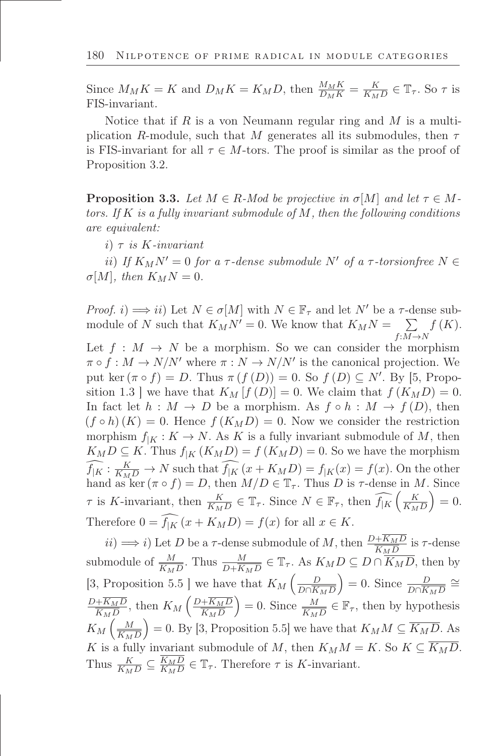Since  $M_M K = K$  and  $D_M K = K_M D$ , then  $\frac{M_M K}{D_M K} = \frac{K}{K_M}$  $\frac{K}{K_M D} \in \mathbb{T}_{\tau}$ . So  $\tau$  is FIS-invariant.

Notice that if R is a von Neumann regular ring and M is a multiplication R-module, such that M generates all its submodules, then  $\tau$ is FIS-invariant for all  $\tau \in M$ -tors. The proof is similar as the proof of Proposition 3.2.

**Proposition 3.3.** Let  $M \in R$ -Mod be projective in  $\sigma[M]$  and let  $\tau \in M$ *tors. If* K *is a fully invariant submodule of* M*, then the following conditions are equivalent:*

i) τ *is* K*-invariant*

ii) *If*  $K_M N' = 0$  *for a*  $\tau$ -dense submodule N' of a  $\tau$ -torsionfree  $N \in$  $\sigma[M]$ *, then*  $K_M N = 0$ *.* 

*Proof.* i)  $\implies$  ii) Let  $N \in \sigma[M]$  with  $N \in \mathbb{F}_{\tau}$  and let  $N'$  be a  $\tau$ -dense submodule of N such that  $K_M N' = 0$ . We know that  $K_M N = \sum$  $f:M\rightarrow N$  $f(K).$ 

Let  $f : M \to N$  be a morphism. So we can consider the morphism  $\pi \circ f : M \to N/N'$  where  $\pi : N \to N/N'$  is the canonical projection. We put ker  $(\pi \circ f) = D$ . Thus  $\pi(f(D)) = 0$ . So  $f(D) \subseteq N'$ . By [5, Proposition 1.3 ] we have that  $K_M[f(D)] = 0$ . We claim that  $f(K_M D) = 0$ . In fact let  $h : M \to D$  be a morphism. As  $f \circ h : M \to f(D)$ , then  $(f \circ h)(K) = 0$ . Hence  $f(K_M D) = 0$ . Now we consider the restriction morphism  $f_{|K}: K \to N$ . As K is a fully invariant submodule of M, then  $K_M D \subseteq K$ . Thus  $f_{|K} (K_M D) = f (K_M D) = 0$ . So we have the morphism  $f_{\vert K}: \frac{K}{K_M D} \to N$  such that  $f_{\vert K}(x + K_M D) = f_{\vert K}(x) = f(x)$ . On the other hand as ker  $(\pi \circ f) = D$ , then  $M/D \in \mathbb{T}_{\tau}$ . Thus D is  $\tau$ -dense in M. Since  $\tau$  is K-invariant, then  $\frac{K}{K_M D} \in \mathbb{T}_{\tau}$ . Since  $N \in \mathbb{F}_{\tau}$ , then  $\widehat{f_{|K}}\left(\frac{K}{K_M D}\right)$  $K_M D$  $= 0.$ Therefore  $0 = \widehat{f_{|K}}(x + K_M D) = f(x)$  for all  $x \in K$ .

 $ii) \Longrightarrow i$ ) Let D be a  $\tau$ -dense submodule of M, then  $\frac{D+K_{M}D}{K_{M}D}$  is  $\tau$ -dense submodule of  $\frac{M}{\overline{K_M D}}$ . Thus  $\frac{M}{D+\overline{K_M D}} \in \mathbb{T}_{\tau}$ . As  $K_M D \subseteq D \cap \overline{K_M D}$ , then by [3, Proposition 5.5 ] we have that  $K_M\left(\frac{D}{D\cap\overline{K}}\right)$  $D \cap K_M D$ ) = 0. Since  $\frac{D}{D \cap \overline{K_M D}}$  ≅  $D+K_M D$  $\frac{+\overline{K_M}D}{\overline{K_M}D}$ , then  $K_M\left(\frac{D+\overline{K_M}D}{\overline{K_M}D}\right)$  $K_M D$  $= 0$ . Since  $\frac{M}{K_M D} \in \mathbb{F}_{\tau}$ , then by hypothesis  $K_M\left(\frac{M}{K_M}\right)$  $K_M D$ = 0. By [3, Proposition 5.5] we have that  $K_M M \subseteq \overline{K_M D}$ . As K is a fully invariant submodule of M, then  $K_M M = K$ . So  $K \subseteq \overline{K_M D}$ . Thus  $\frac{K}{K_M D} \subseteq \frac{K_M D}{K_M D}$  $\frac{K_M D}{K_M D} \in \mathbb{T}_{\tau}$ . Therefore  $\tau$  is K-invariant.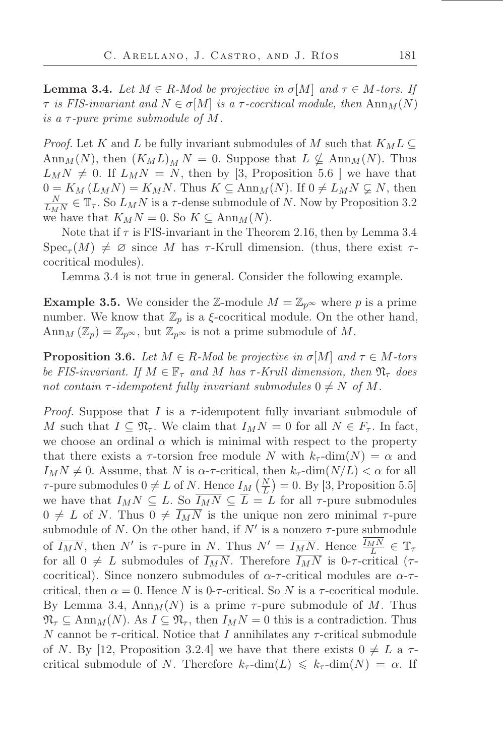**Lemma 3.4.** *Let*  $M \in R$ *-Mod be projective in*  $\sigma[M]$  *and*  $\tau \in M$ *-tors. If*  $\tau$  *is FIS-invariant and*  $N \in \sigma[M]$  *is a*  $\tau$ -cocritical module, then  $\text{Ann}_M(N)$ *is a*  $\tau$ -pure prime submodule of M.

*Proof.* Let K and L be fully invariant submodules of M such that  $K_M L \subseteq$ Ann<sub>M</sub>(N), then  $(K_M L)_M N = 0$ . Suppose that  $L \nsubseteq \text{Ann}_M(N)$ . Thus  $L_M N \neq 0$ . If  $L_M N = N$ , then by [3, Proposition 5.6 ] we have that  $0 = K_M (L_M N) = K_M N$ . Thus  $K \subseteq \text{Ann}_M(N)$ . If  $0 \neq L_M N \subsetneq N$ , then N  $\overline{L_{MN}^N} \in \mathbb{T}_{\tau}$ . So  $L_M N$  is a  $\tau$ -dense submodule of N. Now by Proposition 3.2 we have that  $K_MN = 0$ . So  $K \subseteq \text{Ann}_M(N)$ .

Note that if  $\tau$  is FIS-invariant in the Theorem 2.16, then by Lemma 3.4  $Spec_{\tau}(M) \neq \emptyset$  since M has  $\tau$ -Krull dimension. (thus, there exist  $\tau$ cocritical modules).

Lemma 3.4 is not true in general. Consider the following example.

**Example 3.5.** We consider the Z-module  $M = \mathbb{Z}_{p^{\infty}}$  where p is a prime number. We know that  $\mathbb{Z}_p$  is a  $\xi$ -cocritical module. On the other hand, Ann<sub>M</sub> ( $\mathbb{Z}_p$ ) =  $\mathbb{Z}_{p^{\infty}}$ , but  $\mathbb{Z}_{p^{\infty}}$  is not a prime submodule of M.

**Proposition 3.6.** *Let*  $M \in R$ *-Mod be projective in*  $\sigma[M]$  *and*  $\tau \in M$ *-tors be FIS-invariant. If*  $M \in \mathbb{F}_{\tau}$  *and*  $M$  *has*  $\tau$ -*Krull dimension, then*  $\mathfrak{N}_{\tau}$  *does not contain*  $\tau$ -*idempotent fully invariant submodules*  $0 \neq N$  *of* M.

*Proof.* Suppose that I is a  $\tau$ -idempotent fully invariant submodule of M such that  $I \subseteq \mathfrak{N}_{\tau}$ . We claim that  $I_M N = 0$  for all  $N \in F_{\tau}$ . In fact, we choose an ordinal  $\alpha$  which is minimal with respect to the property that there exists a  $\tau$ -torsion free module N with  $k_{\tau}$ -dim $(N) = \alpha$  and  $I_M N \neq 0$ . Assume, that N is  $\alpha$ - $\tau$ -critical, then  $k_{\tau}$ -dim $(N/L) < \alpha$  for all  $\tau$ -pure submodules  $0 \neq L$  of N. Hence  $I_M(\frac{N}{L}) = 0$ . By [3, Proposition 5.5] we have that  $I_M N \subseteq L$ . So  $\overline{I_M N} \subseteq \overline{L} = L$  for all  $\tau$ -pure submodules  $0 \neq L$  of N. Thus  $0 \neq \overline{I_M N}$  is the unique non zero minimal  $\tau$ -pure submodule of N. On the other hand, if  $N'$  is a nonzero  $\tau$ -pure submodule of  $\overline{I_M N}$ , then N' is  $\tau$ -pure in <u>N. Thus N'</u> =  $\overline{I_M N}$ . Hence  $\frac{I_M N}{L} \in \mathbb{T}_\tau$ for all  $0 \neq L$  submodules of  $\overline{I_MN}$ . Therefore  $\overline{I_MN}$  is 0- $\tau$ -critical ( $\tau$ cocritical). Since nonzero submodules of  $\alpha$ - $\tau$ -critical modules are  $\alpha$ - $\tau$ critical, then  $\alpha = 0$ . Hence N is 0- $\tau$ -critical. So N is a  $\tau$ -cocritical module. By Lemma 3.4,  $\text{Ann}_M(N)$  is a prime  $\tau$ -pure submodule of M. Thus  $\mathfrak{N}_{\tau} \subseteq \text{Ann}_{M}(N)$ . As  $I \subseteq \mathfrak{N}_{\tau}$ , then  $I_M N = 0$  this is a contradiction. Thus N cannot be  $\tau$ -critical. Notice that I annihilates any  $\tau$ -critical submodule of N. By [12, Proposition 3.2.4] we have that there exists  $0 \neq L$  a  $\tau$ critical submodule of N. Therefore  $k_{\tau}$ -dim $(L) \leq k_{\tau}$ -dim $(N) = \alpha$ . If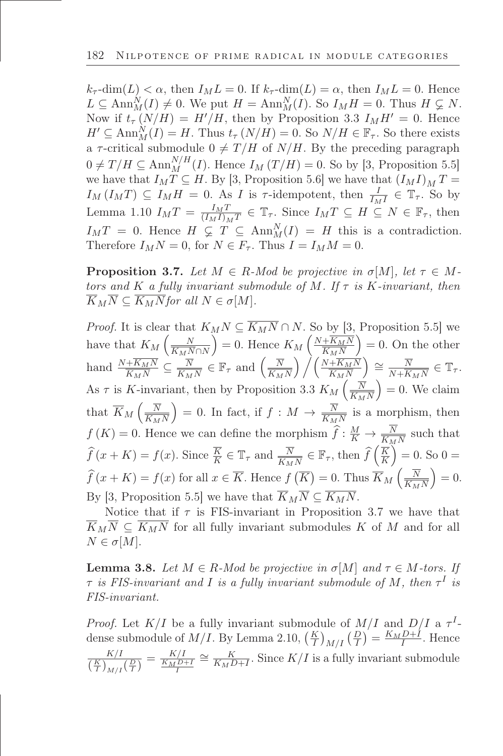$k_{\tau}$ -dim $(L) < \alpha$ , then  $I_M L = 0$ . If  $k_{\tau}$ -dim $(L) = \alpha$ , then  $I_M L = 0$ . Hence  $L \subseteq \text{Ann}_{M}^{N}(I) \neq 0$ . We put  $H = \text{Ann}_{M}^{N}(I)$ . So  $I_{M}H = 0$ . Thus  $H \subsetneq N$ . Now if  $t_{\tau}(N/H) = H'/H$ , then by Proposition 3.3  $I_MH' = 0$ . Hence  $H' \subseteq \text{Ann}_{M}^{N}(I) = H$ . Thus  $t_{\tau}(N/H) = 0$ . So  $N/H \in \mathbb{F}_{\tau}$ . So there exists a  $\tau$ -critical submodule  $0 \neq T / H$  of  $N / H$ . By the preceding paragraph  $0 \neq T/H \subseteq \text{Ann}_M^{N/H}(I)$ . Hence  $I_M(T/H) = 0$ . So by [3, Proposition 5.5] we have that  $I_M T \subseteq H$ . By [3, Proposition 5.6] we have that  $(I_M I)_M T =$  $I_M (I_M T) \subseteq I_M H = 0$ . As I is  $\tau$ -idempotent, then  $\frac{I}{I_M I} \in \mathbb{T}_{\tau}$ . So by Lemma 1.10  $I_M T = \frac{I_M T}{(I_M I)_M}$  $\frac{I_{M}I}{(I_{M}I)_{M}T} \in \mathbb{T}_{\tau}$ . Since  $I_{M}T \subseteq H \subseteq N \in \mathbb{F}_{\tau}$ , then  $I_M T = 0$ . Hence  $H \subsetneq T \subseteq \text{Ann}_M^N(I) = H$  this is a contradiction. Therefore  $I_M N = 0$ , for  $N \in F_\tau$ . Thus  $I = I_M M = 0$ .

**Proposition 3.7.** Let  $M \in R$ -Mod be projective in  $\sigma[M]$ , let  $\tau \in M$ *tors and* K *a fully invariant submodule of* M*. If* τ *is* K*-invariant, then*  $\overline{K}_M \overline{N} \subseteq \overline{K_M N}$ *for all*  $N \in \sigma[M]$ *.* 

*Proof.* It is clear that  $K_M N \subseteq \overline{K_M N} \cap N$ . So by [3, Proposition 5.5] we have that  $K_M\left(\frac{N}{K_M\Lambda}\right)$  $K_MN\cap N$ ) = 0. Hence  $K_M\left(\frac{N+\overline{K_M}N}{K_MN}\right)$  $K_MN$  $= 0$ . On the other hand  $\frac{N + K_M N}{K_M N} \subseteq \frac{N}{K_M}$  $\frac{\overline{N}}{\overline{K}_M N} \in \mathbb{F}_{\tau}$  and  $\left(\frac{\overline{N}}{\overline{K}_M}\right)$  $K_MN$  $\left(\frac{N+K_{M}N}{N}\right)$  $K_MN$  $\sum$   $\equiv \frac{\overline{N}}{N+\overline{K}}$  $\frac{N}{N+\overline{K_MN}}\in\mathbb{T}_{\tau}.$ As  $\tau$  is K-invariant, then by Proposition 3.3  $K_M\left(\frac{\overline{N}}{\overline{K_M}}\right)$  $K_MN$  $= 0$ . We claim that  $\overline{K}_M\left(\frac{\overline{N}}{\overline{K}_M}\right)$  $K_MN$  $= 0$ . In fact, if  $f : M \to \frac{\overline{N}}{\overline{K_M N}}$  is a morphism, then  $f(K) = 0$ . Hence we can define the morphism  $\hat{f}: \frac{M}{K} \to \frac{N}{K_M N}$  such that  $\widehat{f}(x+K) = f(x)$ . Since  $\overline{K} \in \mathbb{T}_{\tau}$  and  $\overline{N} \overline{K_{M}N} \in \mathbb{F}_{\tau}$ , then  $\widehat{f}(\overline{K})$ K  $= 0.$  So  $0 =$  $\widehat{f}(x+K) = f(x)$  for all  $x \in \overline{K}$ . Hence  $\widehat{f}(\overline{K}) = 0$ . Thus  $\overline{K}_M\left(\frac{\overline{N}}{K_M}\right)$  $K_MN$  $= 0.$ By [3, Proposition 5.5] we have that  $\overline{K}_M\overline{N} \subseteq \overline{K_MN}$ .

Notice that if  $\tau$  is FIS-invariant in Proposition 3.7 we have that  $\overline{K}_M\overline{N} \subseteq \overline{K_MN}$  for all fully invariant submodules K of M and for all  $N \in \sigma[M].$ 

**Lemma 3.8.** Let  $M \in R$ -Mod be projective in  $\sigma[M]$  and  $\tau \in M$ -tors. If  $\tau$  *is FIS-invariant and I is a fully invariant submodule of M*, then  $\tau^I$  *is FIS-invariant.*

*Proof.* Let  $K/I$  be a fully invariant submodule of  $M/I$  and  $D/I$  a  $\tau^I$ dense submodule of  $M/I$ . By Lemma 2.10,  $\left(\frac{K}{I}\right)_{M/I} \left(\frac{D}{I}\right) = \frac{K_M D + I}{I}$ . Hence K/I  $\frac{K/I}{\left(\frac{K}{I}\right)_{M/I}\left(\frac{D}{I}\right)} = \frac{K/I}{\frac{K_M D^2}{I}}$  $\frac{K/I}{\frac{K_M D+I}{I}} \cong \frac{K}{K_M L}$  $\frac{K}{K_M D+I}$ . Since  $K/I$  is a fully invariant submodule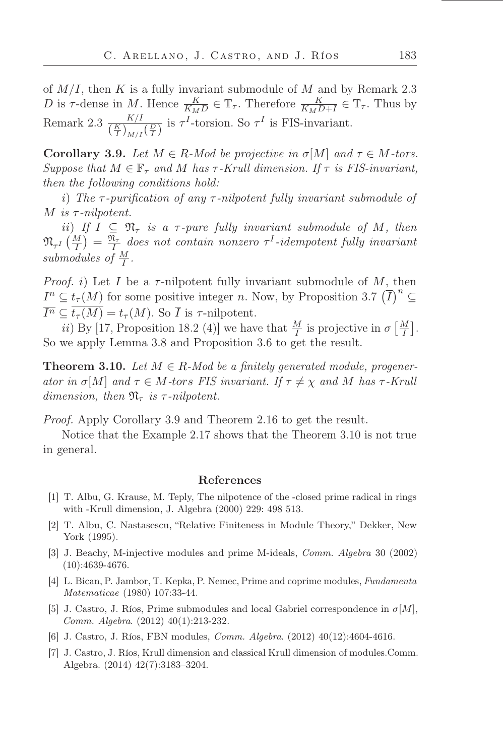of  $M/I$ , then K is a fully invariant submodule of M and by Remark 2.3 D is  $\tau$ -dense in M. Hence  $\frac{K}{K_M D} \in \mathbb{T}_{\tau}$ . Therefore  $\frac{K}{K_M D + I} \in \mathbb{T}_{\tau}$ . Thus by Remark 2.3  $\frac{K/I}{(\frac{K}{I})_{M/I}(\frac{D}{I})}$  is  $\tau^I$ -torsion. So  $\tau^I$  is FIS-invariant.

**Corollary 3.9.** *Let*  $M \in R$ *-Mod be projective in*  $\sigma[M]$  *and*  $\tau \in M$ *-tors. Suppose that*  $M \in \mathbb{F}_{\tau}$  *and*  $M$  *has*  $\tau$ -*Krull dimension.* If  $\tau$  *is FIS-invariant, then the following conditions hold:*

i) *The* τ *-puriőcation of any* τ *-nilpotent fully invariant submodule of* M *is* τ *-nilpotent.*

*ii*) *If*  $I \subseteq \mathfrak{N}_{\tau}$  *is a*  $\tau$ *-pure fully invariant submodule of*  $M$ *, then*  $\mathfrak{N}_{\tau^I}\left(\frac{M}{I}\right) = \frac{\mathfrak{N}_{\tau}}{I}$  does not contain nonzero  $\tau^I$ -idempotent fully invariant submodules of  $\frac{M}{I}$ .

*Proof.* i) Let I be a  $\tau$ -nilpotent fully invariant submodule of M, then  $I^n \subseteq t_\tau(M)$  for some positive integer n. Now, by Proposition 3.7  $(\overline{I})^n \subseteq$  $\overline{I^n} \subseteq t_\tau(M) = t_\tau(M)$ . So  $\overline{I}$  is  $\tau$ -nilpotent.

*ii*) By [17, Proposition 18.2 (4)] we have that  $\frac{M}{I}$  is projective in  $\sigma \left[ \frac{M}{I} \right]$  $\frac{M}{I}$ . So we apply Lemma 3.8 and Proposition 3.6 to get the result.

**Theorem 3.10.** *Let*  $M \in R$ -*Mod be a finitely generated module, progenerator in*  $\sigma[M]$  *and*  $\tau \in M$ *-tors FIS invariant. If*  $\tau \neq \chi$  *and* M *has*  $\tau$ *-Krull dimension, then*  $\mathfrak{N}_{\tau}$  *is*  $\tau$ -nilpotent.

*Proof.* Apply Corollary 3.9 and Theorem 2.16 to get the result.

Notice that the Example 2.17 shows that the Theorem 3.10 is not true in general.

#### References

- [1] T. Albu, G. Krause, M. Teply, The nilpotence of the -closed prime radical in rings with -Krull dimension, J. Algebra (2000) 229: 498 513.
- [2] T. Albu, C. Nastasescu, "Relative Finiteness in Module Theory," Dekker, New York (1995).
- [3] J. Beachy, M-injective modules and prime M-ideals, Comm. Algebra 30 (2002) (10):4639-4676.
- [4] L. Bican, P. Jambor, T. Kepka, P. Nemec, Prime and coprime modules, Fundamenta Matematicae (1980) 107:33-44.
- [5] J. Castro, J. Ríos, Prime submodules and local Gabriel correspondence in  $\sigma[M]$ , Comm. Algebra. (2012) 40(1):213-232.
- [6] J. Castro, J. Ríos, FBN modules, Comm. Algebra. (2012) 40(12):4604-4616.
- [7] J. Castro, J. Ríos, Krull dimension and classical Krull dimension of modules.Comm. Algebra.  $(2014)$  42 $(7):3183-3204$ .